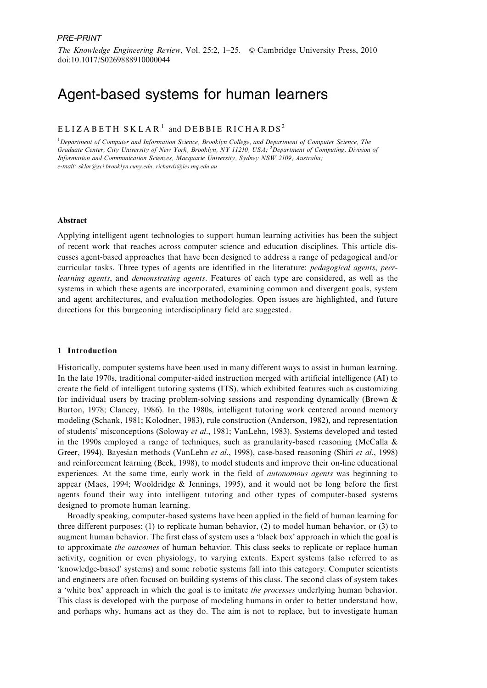# Agent-based systems for human learners

# $ELIZABETH SKLAR<sup>1</sup>$  and DEBBIE RICHARDS<sup>2</sup>

<sup>1</sup>Department of Computer and Information Science, Brooklyn College, and Department of Computer Science, The Graduate Center, City University of New York, Brooklyn, NY 11210, USA; <sup>2</sup>Department of Computing, Division of Information and Communication Sciences, Macquarie University, Sydney NSW 2109, Australia; e-mail: sklar@sci.brooklyn.cuny.edu, richards@ics.mq.edu.au

#### Abstract

Applying intelligent agent technologies to support human learning activities has been the subject of recent work that reaches across computer science and education disciplines. This article discusses agent-based approaches that have been designed to address a range of pedagogical and/or curricular tasks. Three types of agents are identified in the literature: pedagogical agents, peerlearning agents, and demonstrating agents. Features of each type are considered, as well as the systems in which these agents are incorporated, examining common and divergent goals, system and agent architectures, and evaluation methodologies. Open issues are highlighted, and future directions for this burgeoning interdisciplinary field are suggested.

# 1 Introduction

Historically, computer systems have been used in many different ways to assist in human learning. In the late 1970s, traditional computer-aided instruction merged with artificial intelligence (AI) to create the field of intelligent tutoring systems (ITS), which exhibited features such as customizing for individual users by tracing problem-solving sessions and responding dynamically (Brown & Burton, 1978; Clancey, 1986). In the 1980s, intelligent tutoring work centered around memory modeling (Schank, 1981; Kolodner, 1983), rule construction (Anderson, 1982), and representation of students' misconceptions (Soloway et al., 1981; VanLehn, 1983). Systems developed and tested in the 1990s employed a range of techniques, such as granularity-based reasoning (McCalla & Greer, 1994), Bayesian methods (VanLehn et al., 1998), case-based reasoning (Shiri et al., 1998) and reinforcement learning (Beck, 1998), to model students and improve their on-line educational experiences. At the same time, early work in the field of autonomous agents was beginning to appear (Maes, 1994; Wooldridge & Jennings, 1995), and it would not be long before the first agents found their way into intelligent tutoring and other types of computer-based systems designed to promote human learning.

Broadly speaking, computer-based systems have been applied in the field of human learning for three different purposes: (1) to replicate human behavior, (2) to model human behavior, or (3) to augment human behavior. The first class of system uses a 'black box' approach in which the goal is to approximate *the outcomes* of human behavior. This class seeks to replicate or replace human activity, cognition or even physiology, to varying extents. Expert systems (also referred to as 'knowledge-based' systems) and some robotic systems fall into this category. Computer scientists and engineers are often focused on building systems of this class. The second class of system takes a 'white box' approach in which the goal is to imitate the processes underlying human behavior. This class is developed with the purpose of modeling humans in order to better understand how, and perhaps why, humans act as they do. The aim is not to replace, but to investigate human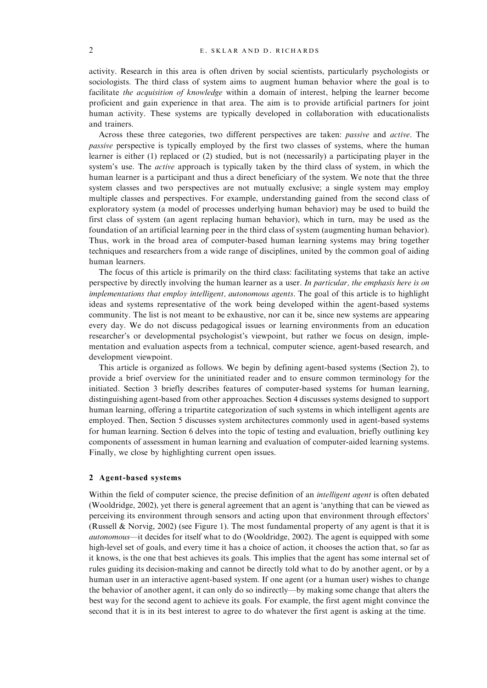activity. Research in this area is often driven by social scientists, particularly psychologists or sociologists. The third class of system aims to augment human behavior where the goal is to facilitate the acquisition of knowledge within a domain of interest, helping the learner become proficient and gain experience in that area. The aim is to provide artificial partners for joint human activity. These systems are typically developed in collaboration with educationalists and trainers.

Across these three categories, two different perspectives are taken: passive and active. The passive perspective is typically employed by the first two classes of systems, where the human learner is either (1) replaced or (2) studied, but is not (necessarily) a participating player in the system's use. The *active* approach is typically taken by the third class of system, in which the human learner is a participant and thus a direct beneficiary of the system. We note that the three system classes and two perspectives are not mutually exclusive; a single system may employ multiple classes and perspectives. For example, understanding gained from the second class of exploratory system (a model of processes underlying human behavior) may be used to build the first class of system (an agent replacing human behavior), which in turn, may be used as the foundation of an artificial learning peer in the third class of system (augmenting human behavior). Thus, work in the broad area of computer-based human learning systems may bring together techniques and researchers from a wide range of disciplines, united by the common goal of aiding human learners.

The focus of this article is primarily on the third class: facilitating systems that take an active perspective by directly involving the human learner as a user. In particular, the emphasis here is on implementations that employ intelligent, autonomous agents. The goal of this article is to highlight ideas and systems representative of the work being developed within the agent-based systems community. The list is not meant to be exhaustive, nor can it be, since new systems are appearing every day. We do not discuss pedagogical issues or learning environments from an education researcher's or developmental psychologist's viewpoint, but rather we focus on design, implementation and evaluation aspects from a technical, computer science, agent-based research, and development viewpoint.

This article is organized as follows. We begin by defining agent-based systems (Section 2), to provide a brief overview for the uninitiated reader and to ensure common terminology for the initiated. Section 3 briefly describes features of computer-based systems for human learning, distinguishing agent-based from other approaches. Section 4 discusses systems designed to support human learning, offering a tripartite categorization of such systems in which intelligent agents are employed. Then, Section 5 discusses system architectures commonly used in agent-based systems for human learning. Section 6 delves into the topic of testing and evaluation, briefly outlining key components of assessment in human learning and evaluation of computer-aided learning systems. Finally, we close by highlighting current open issues.

#### 2 Agent-based systems

Within the field of computer science, the precise definition of an *intelligent agent* is often debated (Wooldridge, 2002), yet there is general agreement that an agent is 'anything that can be viewed as perceiving its environment through sensors and acting upon that environment through effectors' (Russell & Norvig, 2002) (see Figure 1). The most fundamental property of any agent is that it is autonomous—it decides for itself what to do (Wooldridge, 2002). The agent is equipped with some high-level set of goals, and every time it has a choice of action, it chooses the action that, so far as it knows, is the one that best achieves its goals. This implies that the agent has some internal set of rules guiding its decision-making and cannot be directly told what to do by another agent, or by a human user in an interactive agent-based system. If one agent (or a human user) wishes to change the behavior of another agent, it can only do so indirectly—by making some change that alters the best way for the second agent to achieve its goals. For example, the first agent might convince the second that it is in its best interest to agree to do whatever the first agent is asking at the time.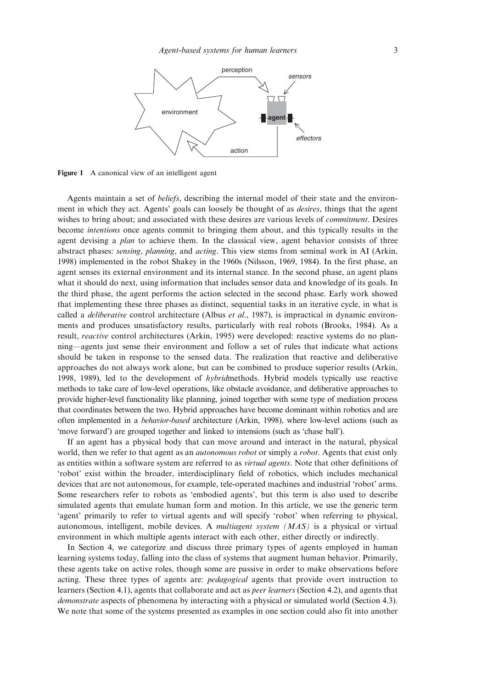

Figure 1 A canonical view of an intelligent agent

Agents maintain a set of beliefs, describing the internal model of their state and the environment in which they act. Agents' goals can loosely be thought of as desires, things that the agent wishes to bring about; and associated with these desires are various levels of *commitment*. Desires become intentions once agents commit to bringing them about, and this typically results in the agent devising a *plan* to achieve them. In the classical view, agent behavior consists of three abstract phases: sensing, planning, and acting. This view stems from seminal work in AI (Arkin, 1998) implemented in the robot Shakey in the 1960s (Nilsson, 1969, 1984). In the first phase, an agent senses its external environment and its internal stance. In the second phase, an agent plans what it should do next, using information that includes sensor data and knowledge of its goals. In the third phase, the agent performs the action selected in the second phase. Early work showed that implementing these three phases as distinct, sequential tasks in an iterative cycle, in what is called a *deliberative* control architecture (Albus *et al.*, 1987), is impractical in dynamic environments and produces unsatisfactory results, particularly with real robots (Brooks, 1984). As a result, reactive control architectures (Arkin, 1995) were developed: reactive systems do no planning—agents just sense their environment and follow a set of rules that indicate what actions should be taken in response to the sensed data. The realization that reactive and deliberative approaches do not always work alone, but can be combined to produce superior results (Arkin, 1998, 1989), led to the development of hybridmethods. Hybrid models typically use reactive methods to take care of low-level operations, like obstacle avoidance, and deliberative approaches to provide higher-level functionality like planning, joined together with some type of mediation process that coordinates between the two. Hybrid approaches have become dominant within robotics and are often implemented in a behavior-based architecture (Arkin, 1998), where low-level actions (such as 'move forward') are grouped together and linked to intensions (such as 'chase ball').

If an agent has a physical body that can move around and interact in the natural, physical world, then we refer to that agent as an *autonomous robot* or simply a *robot*. Agents that exist only as entities within a software system are referred to as virtual agents. Note that other definitions of 'robot' exist within the broader, interdisciplinary field of robotics, which includes mechanical devices that are not autonomous, for example, tele-operated machines and industrial 'robot' arms. Some researchers refer to robots as 'embodied agents', but this term is also used to describe simulated agents that emulate human form and motion. In this article, we use the generic term 'agent' primarily to refer to virtual agents and will specify 'robot' when referring to physical, autonomous, intelligent, mobile devices. A *multiagent system*  $(MAS)$  is a physical or virtual environment in which multiple agents interact with each other, either directly or indirectly.

In Section 4, we categorize and discuss three primary types of agents employed in human learning systems today, falling into the class of systems that augment human behavior. Primarily, these agents take on active roles, though some are passive in order to make observations before acting. These three types of agents are: pedagogical agents that provide overt instruction to learners (Section 4.1), agents that collaborate and act as peer learners (Section 4.2), and agents that demonstrate aspects of phenomena by interacting with a physical or simulated world (Section 4.3). We note that some of the systems presented as examples in one section could also fit into another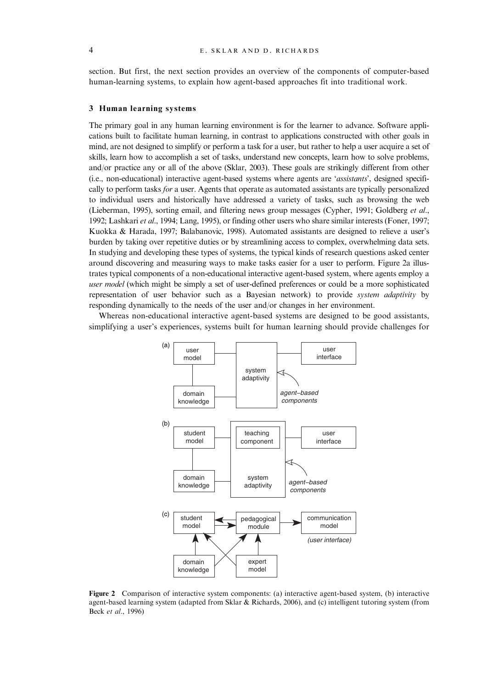section. But first, the next section provides an overview of the components of computer-based human-learning systems, to explain how agent-based approaches fit into traditional work.

#### 3 Human learning systems

The primary goal in any human learning environment is for the learner to advance. Software applications built to facilitate human learning, in contrast to applications constructed with other goals in mind, are not designed to simplify or perform a task for a user, but rather to help a user acquire a set of skills, learn how to accomplish a set of tasks, understand new concepts, learn how to solve problems, and/or practice any or all of the above (Sklar, 2003). These goals are strikingly different from other (i.e., non-educational) interactive agent-based systems where agents are 'assistants', designed specifically to perform tasks for a user. Agents that operate as automated assistants are typically personalized to individual users and historically have addressed a variety of tasks, such as browsing the web (Lieberman, 1995), sorting email, and filtering news group messages (Cypher, 1991; Goldberg et al., 1992; Lashkari et al., 1994; Lang, 1995), or finding other users who share similar interests (Foner, 1997; Kuokka & Harada, 1997; Balabanovic, 1998). Automated assistants are designed to relieve a user's burden by taking over repetitive duties or by streamlining access to complex, overwhelming data sets. In studying and developing these types of systems, the typical kinds of research questions asked center around discovering and measuring ways to make tasks easier for a user to perform. Figure 2a illustrates typical components of a non-educational interactive agent-based system, where agents employ a user model (which might be simply a set of user-defined preferences or could be a more sophisticated representation of user behavior such as a Bayesian network) to provide system adaptivity by responding dynamically to the needs of the user and/or changes in her environment.

Whereas non-educational interactive agent-based systems are designed to be good assistants, simplifying a user's experiences, systems built for human learning should provide challenges for



Figure 2 Comparison of interactive system components: (a) interactive agent-based system, (b) interactive agent-based learning system (adapted from Sklar & Richards, 2006), and (c) intelligent tutoring system (from Beck et al., 1996)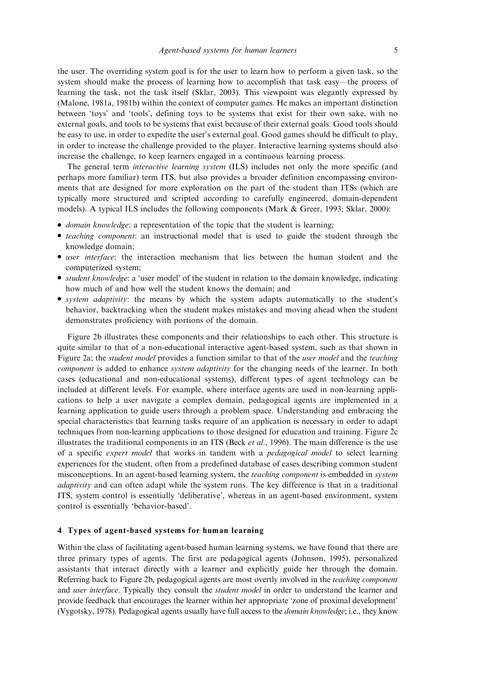the user. The overriding system goal is for the user to learn how to perform a given task, so the system should make the process of learning how to accomplish that task easy—the process of learning the task, not the task itself (Sklar, 2003). This viewpoint was elegantly expressed by (Malone, 1981a, 1981b) within the context of computer games. He makes an important distinction between 'toys' and 'tools', defining toys to be systems that exist for their own sake, with no external goals, and tools to be systems that exist because of their external goals. Good tools should be easy to use, in order to expedite the user's external goal. Good games should be difficult to play, in order to increase the challenge provided to the player. Interactive learning systems should also increase the challenge, to keep learners engaged in a continuous learning process.

The general term interactive learning system (ILS) includes not only the more specific (and perhaps more familiar) term ITS, but also provides a broader definition encompassing environments that are designed for more exploration on the part of the student than ITSs (which are typically more structured and scripted according to carefully engineered, domain-dependent models). A typical ILS includes the following components (Mark & Greer, 1993; Sklar, 2000):

- *domain knowledge*: a representation of the topic that the student is learning;
- *teaching component*: an instructional model that is used to guide the student through the knowledge domain;
- user interface: the interaction mechanism that lies between the human student and the computerized system;
- <sup>&</sup>gt; student knowledge: a 'user model' of the student in relation to the domain knowledge, indicating how much of and how well the student knows the domain; and
- <sup>&</sup>gt; system adaptivity: the means by which the system adapts automatically to the student's behavior, backtracking when the student makes mistakes and moving ahead when the student demonstrates proficiency with portions of the domain.

Figure 2b illustrates these components and their relationships to each other. This structure is quite similar to that of a non-educational interactive agent-based system, such as that shown in Figure 2a; the *student model* provides a function similar to that of the *user model* and the *teaching* component is added to enhance *system adaptivity* for the changing needs of the learner. In both cases (educational and non-educational systems), different types of agent technology can be included at different levels. For example, where interface agents are used in non-learning applications to help a user navigate a complex domain, pedagogical agents are implemented in a learning application to guide users through a problem space. Understanding and embracing the special characteristics that learning tasks require of an application is necessary in order to adapt techniques from non-learning applications to those designed for education and training. Figure 2c illustrates the traditional components in an ITS (Beck *et al.*, 1996). The main difference is the use of a specific expert model that works in tandem with a pedagogical model to select learning experiences for the student, often from a predefined database of cases describing common student misconceptions. In an agent-based learning system, the teaching component is embedded in system adaptivity and can often adapt while the system runs. The key difference is that in a traditional ITS, system control is essentially 'deliberative', whereas in an agent-based environment, system control is essentially 'behavior-based'.

# 4 Types of agent-based systems for human learning

Within the class of facilitating agent-based human learning systems, we have found that there are three primary types of agents. The first are pedagogical agents (Johnson, 1995), personalized assistants that interact directly with a learner and explicitly guide her through the domain. Referring back to Figure 2b, pedagogical agents are most overtly involved in the teaching component and *user interface*. Typically they consult the *student model* in order to understand the learner and provide feedback that encourages the learner within her appropriate 'zone of proximal development' (Vygotsky, 1978). Pedagogical agents usually have full access to the domain knowledge; i.e., they know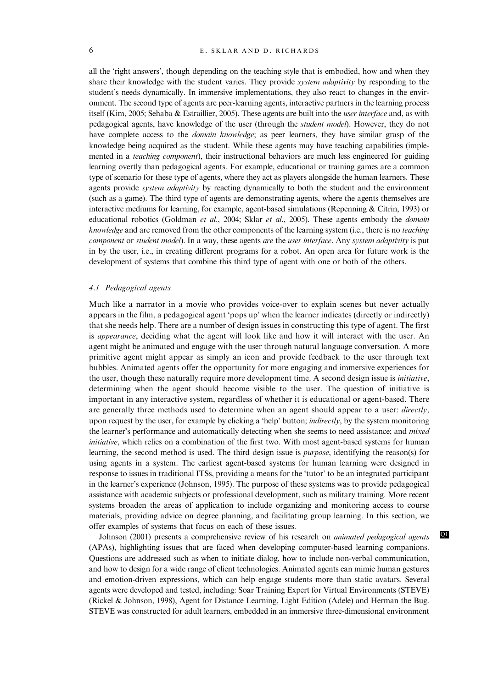all the 'right answers', though depending on the teaching style that is embodied, how and when they share their knowledge with the student varies. They provide *system adaptivity* by responding to the student's needs dynamically. In immersive implementations, they also react to changes in the environment. The second type of agents are peer-learning agents, interactive partners in the learning process itself (Kim, 2005; Sehaba & Estraillier, 2005). These agents are built into the *user interface* and, as with pedagogical agents, have knowledge of the user (through the student model). However, they do not have complete access to the *domain knowledge*; as peer learners, they have similar grasp of the knowledge being acquired as the student. While these agents may have teaching capabilities (implemented in a *teaching component*), their instructional behaviors are much less engineered for guiding learning overtly than pedagogical agents. For example, educational or training games are a common type of scenario for these type of agents, where they act as players alongside the human learners. These agents provide *system adaptivity* by reacting dynamically to both the student and the environment (such as a game). The third type of agents are demonstrating agents, where the agents themselves are interactive mediums for learning, for example, agent-based simulations (Repenning & Citrin, 1993) or educational robotics (Goldman et al., 2004; Sklar et al., 2005). These agents embody the *domain* knowledge and are removed from the other components of the learning system (i.e., there is no teaching component or student model). In a way, these agents are the user interface. Any system adaptivity is put in by the user, i.e., in creating different programs for a robot. An open area for future work is the development of systems that combine this third type of agent with one or both of the others.

#### 4.1 Pedagogical agents

Much like a narrator in a movie who provides voice-over to explain scenes but never actually appears in the film, a pedagogical agent 'pops up' when the learner indicates (directly or indirectly) that she needs help. There are a number of design issues in constructing this type of agent. The first is *appearance*, deciding what the agent will look like and how it will interact with the user. An agent might be animated and engage with the user through natural language conversation. A more primitive agent might appear as simply an icon and provide feedback to the user through text bubbles. Animated agents offer the opportunity for more engaging and immersive experiences for the user, though these naturally require more development time. A second design issue is initiative, determining when the agent should become visible to the user. The question of initiative is important in any interactive system, regardless of whether it is educational or agent-based. There are generally three methods used to determine when an agent should appear to a user: directly, upon request by the user, for example by clicking a 'help' button; *indirectly*, by the system monitoring the learner's performance and automatically detecting when she seems to need assistance; and *mixed* initiative, which relies on a combination of the first two. With most agent-based systems for human learning, the second method is used. The third design issue is purpose, identifying the reason(s) for using agents in a system. The earliest agent-based systems for human learning were designed in response to issues in traditional ITSs, providing a means for the 'tutor' to be an integrated participant in the learner's experience (Johnson, 1995). The purpose of these systems was to provide pedagogical assistance with academic subjects or professional development, such as military training. More recent systems broaden the areas of application to include organizing and monitoring access to course materials, providing advice on degree planning, and facilitating group learning. In this section, we offer examples of systems that focus on each of these issues.

Johnson (2001) presents a comprehensive review of his research on *animated pedagogical agents* Q1 (APAs), highlighting issues that are faced when developing computer-based learning companions. Questions are addressed such as when to initiate dialog, how to include non-verbal communication, and how to design for a wide range of client technologies. Animated agents can mimic human gestures and emotion-driven expressions, which can help engage students more than static avatars. Several agents were developed and tested, including: Soar Training Expert for Virtual Environments (STEVE) (Rickel & Johnson, 1998), Agent for Distance Learning, Light Edition (Adele) and Herman the Bug. STEVE was constructed for adult learners, embedded in an immersive three-dimensional environment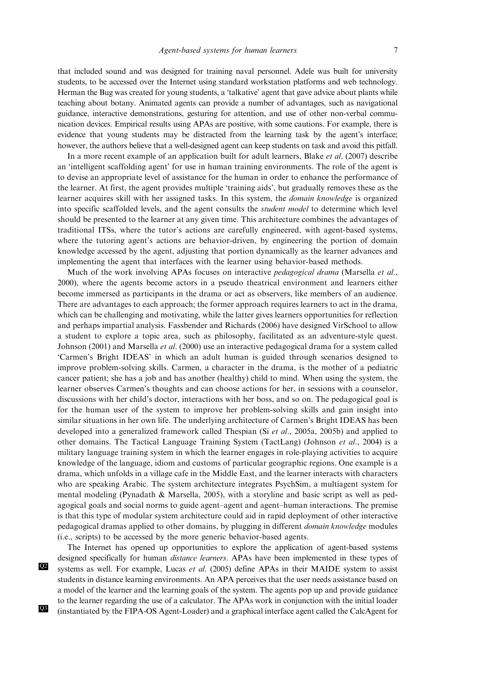that included sound and was designed for training naval personnel. Adele was built for university students, to be accessed over the Internet using standard workstation platforms and web technology. Herman the Bug was created for young students, a 'talkative' agent that gave advice about plants while teaching about botany. Animated agents can provide a number of advantages, such as navigational guidance, interactive demonstrations, gesturing for attention, and use of other non-verbal communication devices. Empirical results using APAs are positive, with some cautions. For example, there is evidence that young students may be distracted from the learning task by the agent's interface; however, the authors believe that a well-designed agent can keep students on task and avoid this pitfall.

In a more recent example of an application built for adult learners, Blake et al. (2007) describe an 'intelligent scaffolding agent' for use in human training environments. The role of the agent is to devise an appropriate level of assistance for the human in order to enhance the performance of the learner. At first, the agent provides multiple 'training aids', but gradually removes these as the learner acquires skill with her assigned tasks. In this system, the domain knowledge is organized into specific scaffolded levels, and the agent consults the student model to determine which level should be presented to the learner at any given time. This architecture combines the advantages of traditional ITSs, where the tutor's actions are carefully engineered, with agent-based systems, where the tutoring agent's actions are behavior-driven, by engineering the portion of domain knowledge accessed by the agent, adjusting that portion dynamically as the learner advances and implementing the agent that interfaces with the learner using behavior-based methods.

Much of the work involving APAs focuses on interactive *pedagogical drama* (Marsella *et al.*, 2000), where the agents become actors in a pseudo theatrical environment and learners either become immersed as participants in the drama or act as observers, like members of an audience. There are advantages to each approach; the former approach requires learners to act in the drama, which can be challenging and motivating, while the latter gives learners opportunities for reflection and perhaps impartial analysis. Fassbender and Richards (2006) have designed VirSchool to allow a student to explore a topic area, such as philosophy, facilitated as an adventure-style quest. Johnson (2001) and Marsella et al. (2000) use an interactive pedagogical drama for a system called 'Carmen's Bright IDEAS' in which an adult human is guided through scenarios designed to improve problem-solving skills. Carmen, a character in the drama, is the mother of a pediatric cancer patient; she has a job and has another (healthy) child to mind. When using the system, the learner observes Carmen's thoughts and can choose actions for her, in sessions with a counselor, discussions with her child's doctor, interactions with her boss, and so on. The pedagogical goal is for the human user of the system to improve her problem-solving skills and gain insight into similar situations in her own life. The underlying architecture of Carmen's Bright IDEAS has been developed into a generalized framework called Thespian (Si et al., 2005a, 2005b) and applied to other domains. The Tactical Language Training System (TactLang) (Johnson et al., 2004) is a military language training system in which the learner engages in role-playing activities to acquire knowledge of the language, idiom and customs of particular geographic regions. One example is a drama, which unfolds in a village cafe in the Middle East, and the learner interacts with characters who are speaking Arabic. The system architecture integrates PsychSim, a multiagent system for mental modeling (Pynadath & Marsella, 2005), with a storyline and basic script as well as pedagogical goals and social norms to guide agent–agent and agent–human interactions. The premise is that this type of modular system architecture could aid in rapid deployment of other interactive pedagogical dramas applied to other domains, by plugging in different domain knowledge modules (i.e., scripts) to be accessed by the more generic behavior-based agents.

The Internet has opened up opportunities to explore the application of agent-based systems designed specifically for human *distance learners*. APAs have been implemented in these types of systems as well. For example, Lucas et al. (2005) define APAs in their MAIDE system to assist students in distance learning environments. An APA perceives that the user needs assistance based on a model of the learner and the learning goals of the system. The agents pop up and provide guidance to the learner regarding the use of a calculator. The APAs work in conjunction with the initial loader (instantiated by the FIPA-OS Agent-Loader) and a graphical interface agent called the CalcAgent for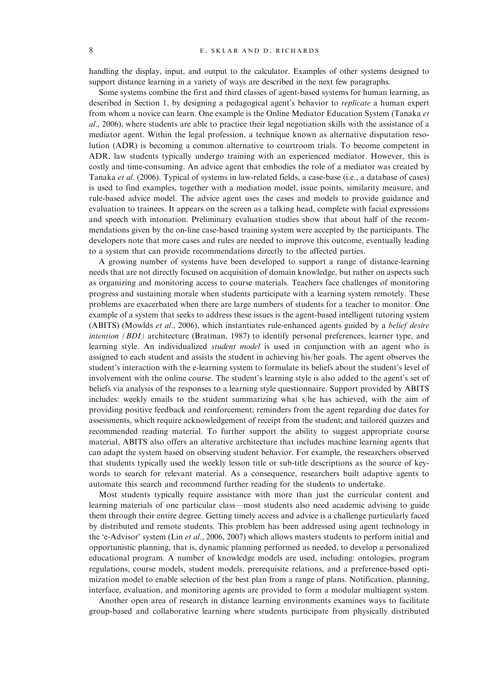handling the display, input, and output to the calculator. Examples of other systems designed to support distance learning in a variety of ways are described in the next few paragraphs.

Some systems combine the first and third classes of agent-based systems for human learning, as described in Section 1, by designing a pedagogical agent's behavior to *replicate* a human expert from whom a novice can learn. One example is the Online Mediator Education System (Tanaka et al., 2006), where students are able to practice their legal negotiation skills with the assistance of a mediator agent. Within the legal profession, a technique known as alternative disputation resolution (ADR) is becoming a common alternative to courtroom trials. To become competent in ADR, law students typically undergo training with an experienced mediator. However, this is costly and time-consuming. An advice agent that embodies the role of a mediator was created by Tanaka et al. (2006). Typical of systems in law-related fields, a case-base (i.e., a database of cases) is used to find examples, together with a mediation model, issue points, similarity measure, and rule-based advice model. The advice agent uses the cases and models to provide guidance and evaluation to trainees. It appears on the screen as a talking head, complete with facial expressions and speech with intonation. Preliminary evaluation studies show that about half of the recommendations given by the on-line case-based training system were accepted by the participants. The developers note that more cases and rules are needed to improve this outcome, eventually leading to a system that can provide recommendations directly to the affected parties.

A growing number of systems have been developed to support a range of distance-learning needs that are not directly focused on acquisition of domain knowledge, but rather on aspects such as organizing and monitoring access to course materials. Teachers face challenges of monitoring progress and sustaining morale when students participate with a learning system remotely. These problems are exacerbated when there are large numbers of students for a teacher to monitor. One example of a system that seeks to address these issues is the agent-based intelligent tutoring system (ABITS) (Mowlds et al., 2006), which instantiates rule-enhanced agents guided by a belief desire intention (BDI) architecture (Bratman, 1987) to identify personal preferences, learner type, and learning style. An individualized *student model* is used in conjunction with an agent who is assigned to each student and assists the student in achieving his/her goals. The agent observes the student's interaction with the e-learning system to formulate its beliefs about the student's level of involvement with the online course. The student's learning style is also added to the agent's set of beliefs via analysis of the responses to a learning style questionnaire. Support provided by ABITS includes: weekly emails to the student summarizing what s/he has achieved, with the aim of providing positive feedback and reinforcement; reminders from the agent regarding due dates for assessments, which require acknowledgement of receipt from the student; and tailored quizzes and recommended reading material. To further support the ability to suggest appropriate course material, ABITS also offers an alterative architecture that includes machine learning agents that can adapt the system based on observing student behavior. For example, the researchers observed that students typically used the weekly lesson title or sub-title descriptions as the source of keywords to search for relevant material. As a consequence, researchers built adaptive agents to automate this search and recommend further reading for the students to undertake.

Most students typically require assistance with more than just the curricular content and learning materials of one particular class—most students also need academic advising to guide them through their entire degree. Getting timely access and advice is a challenge particularly faced by distributed and remote students. This problem has been addressed using agent technology in the 'e-Advisor' system (Lin et al., 2006, 2007) which allows masters students to perform initial and opportunistic planning, that is, dynamic planning performed as needed, to develop a personalized educational program. A number of knowledge models are used, including: ontologies, program regulations, course models, student models, prerequisite relations, and a preference-based optimization model to enable selection of the best plan from a range of plans. Notification, planning, interface, evaluation, and monitoring agents are provided to form a modular multiagent system.

Another open area of research in distance learning environments examines ways to facilitate group-based and collaborative learning where students participate from physically distributed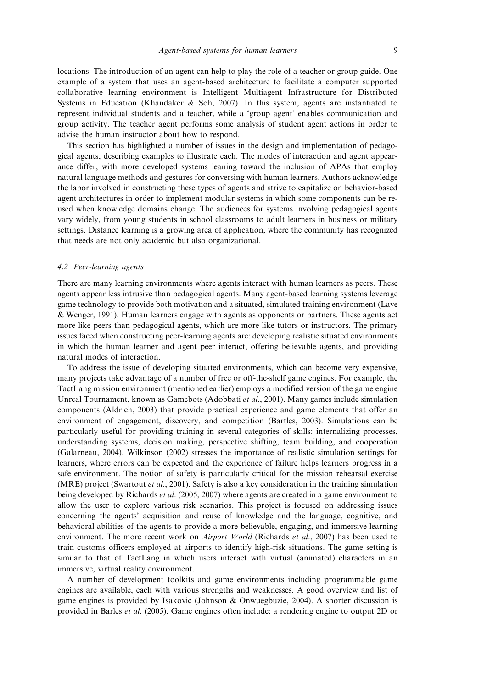locations. The introduction of an agent can help to play the role of a teacher or group guide. One example of a system that uses an agent-based architecture to facilitate a computer supported collaborative learning environment is Intelligent Multiagent Infrastructure for Distributed Systems in Education (Khandaker & Soh, 2007). In this system, agents are instantiated to represent individual students and a teacher, while a 'group agent' enables communication and group activity. The teacher agent performs some analysis of student agent actions in order to advise the human instructor about how to respond.

This section has highlighted a number of issues in the design and implementation of pedagogical agents, describing examples to illustrate each. The modes of interaction and agent appearance differ, with more developed systems leaning toward the inclusion of APAs that employ natural language methods and gestures for conversing with human learners. Authors acknowledge the labor involved in constructing these types of agents and strive to capitalize on behavior-based agent architectures in order to implement modular systems in which some components can be reused when knowledge domains change. The audiences for systems involving pedagogical agents vary widely, from young students in school classrooms to adult learners in business or military settings. Distance learning is a growing area of application, where the community has recognized that needs are not only academic but also organizational.

#### 4.2 Peer-learning agents

There are many learning environments where agents interact with human learners as peers. These agents appear less intrusive than pedagogical agents. Many agent-based learning systems leverage game technology to provide both motivation and a situated, simulated training environment (Lave & Wenger, 1991). Human learners engage with agents as opponents or partners. These agents act more like peers than pedagogical agents, which are more like tutors or instructors. The primary issues faced when constructing peer-learning agents are: developing realistic situated environments in which the human learner and agent peer interact, offering believable agents, and providing natural modes of interaction.

To address the issue of developing situated environments, which can become very expensive, many projects take advantage of a number of free or off-the-shelf game engines. For example, the TactLang mission environment (mentioned earlier) employs a modified version of the game engine Unreal Tournament, known as Gamebots (Adobbati et al., 2001). Many games include simulation components (Aldrich, 2003) that provide practical experience and game elements that offer an environment of engagement, discovery, and competition (Bartles, 2003). Simulations can be particularly useful for providing training in several categories of skills: internalizing processes, understanding systems, decision making, perspective shifting, team building, and cooperation (Galarneau, 2004). Wilkinson (2002) stresses the importance of realistic simulation settings for learners, where errors can be expected and the experience of failure helps learners progress in a safe environment. The notion of safety is particularly critical for the mission rehearsal exercise (MRE) project (Swartout *et al.*, 2001). Safety is also a key consideration in the training simulation being developed by Richards *et al.* (2005, 2007) where agents are created in a game environment to allow the user to explore various risk scenarios. This project is focused on addressing issues concerning the agents' acquisition and reuse of knowledge and the language, cognitive, and behavioral abilities of the agents to provide a more believable, engaging, and immersive learning environment. The more recent work on *Airport World* (Richards et al., 2007) has been used to train customs officers employed at airports to identify high-risk situations. The game setting is similar to that of TactLang in which users interact with virtual (animated) characters in an immersive, virtual reality environment.

A number of development toolkits and game environments including programmable game engines are available, each with various strengths and weaknesses. A good overview and list of game engines is provided by Isakovic (Johnson & Onwuegbuzie, 2004). A shorter discussion is provided in Barles et al. (2005). Game engines often include: a rendering engine to output 2D or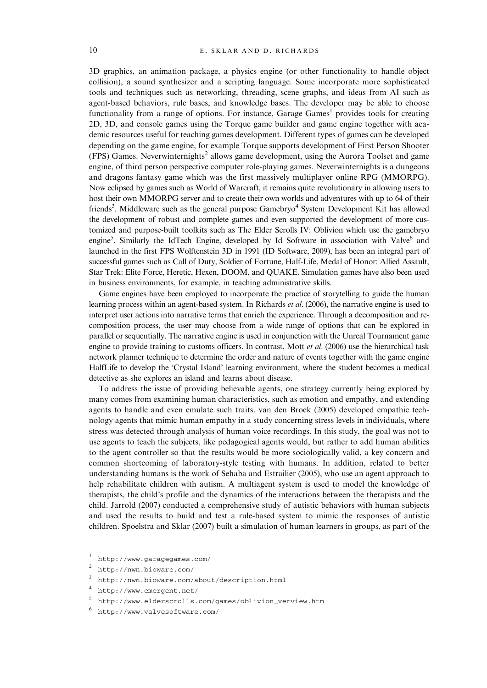3D graphics, an animation package, a physics engine (or other functionality to handle object collision), a sound synthesizer and a scripting language. Some incorporate more sophisticated tools and techniques such as networking, threading, scene graphs, and ideas from AI such as agent-based behaviors, rule bases, and knowledge bases. The developer may be able to choose functionality from a range of options. For instance, Garage Games<sup>1</sup> provides tools for creating 2D, 3D, and console games using the Torque game builder and game engine together with academic resources useful for teaching games development. Different types of games can be developed depending on the game engine, for example Torque supports development of First Person Shooter (FPS) Games. Neverwinternights<sup>2</sup> allows game development, using the Aurora Toolset and game engine, of third person perspective computer role-playing games. Neverwinternights is a dungeons and dragons fantasy game which was the first massively multiplayer online RPG (MMORPG). Now eclipsed by games such as World of Warcraft, it remains quite revolutionary in allowing users to host their own MMORPG server and to create their own worlds and adventures with up to 64 of their friends<sup>3</sup>. Middleware such as the general purpose Gamebryo<sup>4</sup> System Development Kit has allowed the development of robust and complete games and even supported the development of more customized and purpose-built toolkits such as The Elder Scrolls IV: Oblivion which use the gamebryo engine<sup>5</sup>. Similarly the IdTech Engine, developed by Id Software in association with Valve<sup>6</sup> and launched in the first FPS Wolftenstein 3D in 1991 (ID Software, 2009), has been an integral part of successful games such as Call of Duty, Soldier of Fortune, Half-Life, Medal of Honor: Allied Assault, Star Trek: Elite Force, Heretic, Hexen, DOOM, and QUAKE. Simulation games have also been used in business environments, for example, in teaching administrative skills.

Game engines have been employed to incorporate the practice of storytelling to guide the human learning process within an agent-based system. In Richards et al. (2006), the narrative engine is used to interpret user actions into narrative terms that enrich the experience. Through a decomposition and recomposition process, the user may choose from a wide range of options that can be explored in parallel or sequentially. The narrative engine is used in conjunction with the Unreal Tournament game engine to provide training to customs officers. In contrast, Mott *et al.* (2006) use the hierarchical task network planner technique to determine the order and nature of events together with the game engine HalfLife to develop the 'Crystal Island' learning environment, where the student becomes a medical detective as she explores an island and learns about disease.

To address the issue of providing believable agents, one strategy currently being explored by many comes from examining human characteristics, such as emotion and empathy, and extending agents to handle and even emulate such traits. van den Broek (2005) developed empathic technology agents that mimic human empathy in a study concerning stress levels in individuals, where stress was detected through analysis of human voice recordings. In this study, the goal was not to use agents to teach the subjects, like pedagogical agents would, but rather to add human abilities to the agent controller so that the results would be more sociologically valid, a key concern and common shortcoming of laboratory-style testing with humans. In addition, related to better understanding humans is the work of Sehaba and Estrailier (2005), who use an agent approach to help rehabilitate children with autism. A multiagent system is used to model the knowledge of therapists, the child's profile and the dynamics of the interactions between the therapists and the child. Jarrold (2007) conducted a comprehensive study of autistic behaviors with human subjects and used the results to build and test a rule-based system to mimic the responses of autistic children. Spoelstra and Sklar (2007) built a simulation of human learners in groups, as part of the

<sup>1</sup> http://www.garagegames.com/

<sup>2</sup> http://nwn.bioware.com/

<sup>3</sup> http://nwn.bioware.com/about/description.html

<sup>4</sup> http://www.emergent.net/

<sup>5</sup> http://www.elderscrolls.com/games/oblivion\_verview.htm

<sup>6</sup> http://www.valvesoftware.com/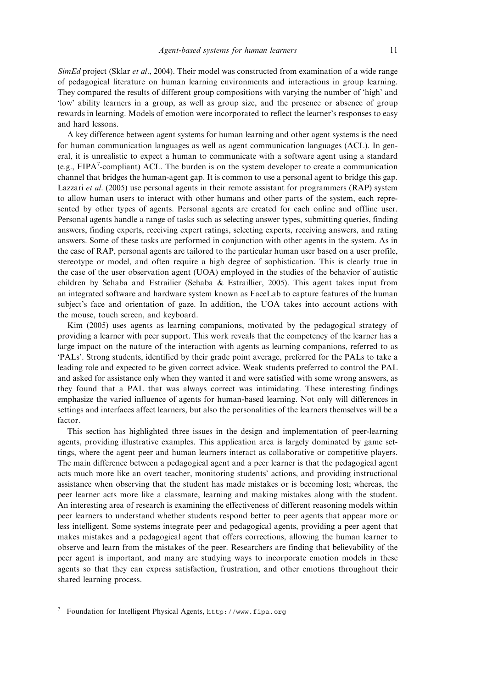SimEd project (Sklar et al., 2004). Their model was constructed from examination of a wide range of pedagogical literature on human learning environments and interactions in group learning. They compared the results of different group compositions with varying the number of 'high' and 'low' ability learners in a group, as well as group size, and the presence or absence of group rewards in learning. Models of emotion were incorporated to reflect the learner's responses to easy and hard lessons.

A key difference between agent systems for human learning and other agent systems is the need for human communication languages as well as agent communication languages (ACL). In general, it is unrealistic to expect a human to communicate with a software agent using a standard (e.g.,  $FIPA<sup>7</sup>$ -compliant) ACL. The burden is on the system developer to create a communication channel that bridges the human-agent gap. It is common to use a personal agent to bridge this gap. Lazzari *et al.* (2005) use personal agents in their remote assistant for programmers (RAP) system to allow human users to interact with other humans and other parts of the system, each represented by other types of agents. Personal agents are created for each online and offline user. Personal agents handle a range of tasks such as selecting answer types, submitting queries, finding answers, finding experts, receiving expert ratings, selecting experts, receiving answers, and rating answers. Some of these tasks are performed in conjunction with other agents in the system. As in the case of RAP, personal agents are tailored to the particular human user based on a user profile, stereotype or model, and often require a high degree of sophistication. This is clearly true in the case of the user observation agent (UOA) employed in the studies of the behavior of autistic children by Sehaba and Estrailier (Sehaba & Estraillier, 2005). This agent takes input from an integrated software and hardware system known as FaceLab to capture features of the human subject's face and orientation of gaze. In addition, the UOA takes into account actions with the mouse, touch screen, and keyboard.

Kim (2005) uses agents as learning companions, motivated by the pedagogical strategy of providing a learner with peer support. This work reveals that the competency of the learner has a large impact on the nature of the interaction with agents as learning companions, referred to as 'PALs'. Strong students, identified by their grade point average, preferred for the PALs to take a leading role and expected to be given correct advice. Weak students preferred to control the PAL and asked for assistance only when they wanted it and were satisfied with some wrong answers, as they found that a PAL that was always correct was intimidating. These interesting findings emphasize the varied influence of agents for human-based learning. Not only will differences in settings and interfaces affect learners, but also the personalities of the learners themselves will be a factor.

This section has highlighted three issues in the design and implementation of peer-learning agents, providing illustrative examples. This application area is largely dominated by game settings, where the agent peer and human learners interact as collaborative or competitive players. The main difference between a pedagogical agent and a peer learner is that the pedagogical agent acts much more like an overt teacher, monitoring students' actions, and providing instructional assistance when observing that the student has made mistakes or is becoming lost; whereas, the peer learner acts more like a classmate, learning and making mistakes along with the student. An interesting area of research is examining the effectiveness of different reasoning models within peer learners to understand whether students respond better to peer agents that appear more or less intelligent. Some systems integrate peer and pedagogical agents, providing a peer agent that makes mistakes and a pedagogical agent that offers corrections, allowing the human learner to observe and learn from the mistakes of the peer. Researchers are finding that believability of the peer agent is important, and many are studying ways to incorporate emotion models in these agents so that they can express satisfaction, frustration, and other emotions throughout their shared learning process.

<sup>7</sup> Foundation for Intelligent Physical Agents, http://www.fipa.org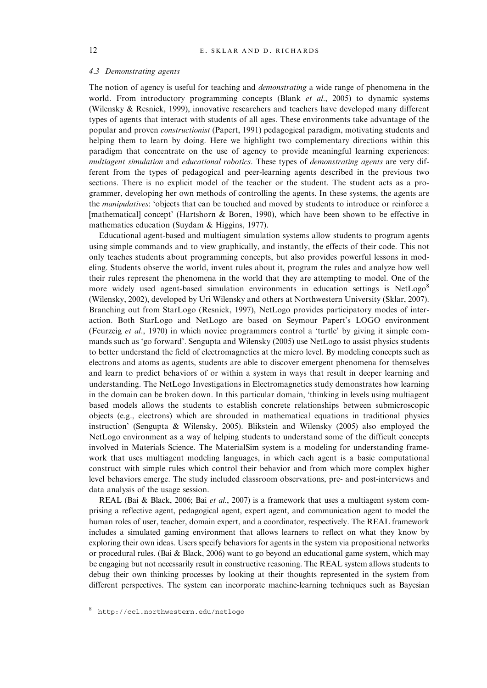# 4.3 Demonstrating agents

The notion of agency is useful for teaching and *demonstrating* a wide range of phenomena in the world. From introductory programming concepts (Blank *et al.*, 2005) to dynamic systems (Wilensky & Resnick, 1999), innovative researchers and teachers have developed many different types of agents that interact with students of all ages. These environments take advantage of the popular and proven constructionist (Papert, 1991) pedagogical paradigm, motivating students and helping them to learn by doing. Here we highlight two complementary directions within this paradigm that concentrate on the use of agency to provide meaningful learning experiences: multiagent simulation and educational robotics. These types of demonstrating agents are very different from the types of pedagogical and peer-learning agents described in the previous two sections. There is no explicit model of the teacher or the student. The student acts as a programmer, developing her own methods of controlling the agents. In these systems, the agents are the manipulatives: 'objects that can be touched and moved by students to introduce or reinforce a [mathematical] concept' (Hartshorn & Boren, 1990), which have been shown to be effective in mathematics education (Suydam & Higgins, 1977).

Educational agent-based and multiagent simulation systems allow students to program agents using simple commands and to view graphically, and instantly, the effects of their code. This not only teaches students about programming concepts, but also provides powerful lessons in modeling. Students observe the world, invent rules about it, program the rules and analyze how well their rules represent the phenomena in the world that they are attempting to model. One of the more widely used agent-based simulation environments in education settings is NetLogo<sup>8</sup> (Wilensky, 2002), developed by Uri Wilensky and others at Northwestern University (Sklar, 2007). Branching out from StarLogo (Resnick, 1997), NetLogo provides participatory modes of interaction. Both StarLogo and NetLogo are based on Seymour Papert's LOGO environment (Feurzeig et al., 1970) in which novice programmers control a 'turtle' by giving it simple commands such as 'go forward'. Sengupta and Wilensky (2005) use NetLogo to assist physics students to better understand the field of electromagnetics at the micro level. By modeling concepts such as electrons and atoms as agents, students are able to discover emergent phenomena for themselves and learn to predict behaviors of or within a system in ways that result in deeper learning and understanding. The NetLogo Investigations in Electromagnetics study demonstrates how learning in the domain can be broken down. In this particular domain, 'thinking in levels using multiagent based models allows the students to establish concrete relationships between submicroscopic objects (e.g., electrons) which are shrouded in mathematical equations in traditional physics instruction' (Sengupta & Wilensky, 2005). Blikstein and Wilensky (2005) also employed the NetLogo environment as a way of helping students to understand some of the difficult concepts involved in Materials Science. The MaterialSim system is a modeling for understanding framework that uses multiagent modeling languages, in which each agent is a basic computational construct with simple rules which control their behavior and from which more complex higher level behaviors emerge. The study included classroom observations, pre- and post-interviews and data analysis of the usage session.

REAL (Bai & Black, 2006; Bai et al., 2007) is a framework that uses a multiagent system comprising a reflective agent, pedagogical agent, expert agent, and communication agent to model the human roles of user, teacher, domain expert, and a coordinator, respectively. The REAL framework includes a simulated gaming environment that allows learners to reflect on what they know by exploring their own ideas. Users specify behaviors for agents in the system via propositional networks or procedural rules. (Bai & Black, 2006) want to go beyond an educational game system, which may be engaging but not necessarily result in constructive reasoning. The REAL system allows students to debug their own thinking processes by looking at their thoughts represented in the system from different perspectives. The system can incorporate machine-learning techniques such as Bayesian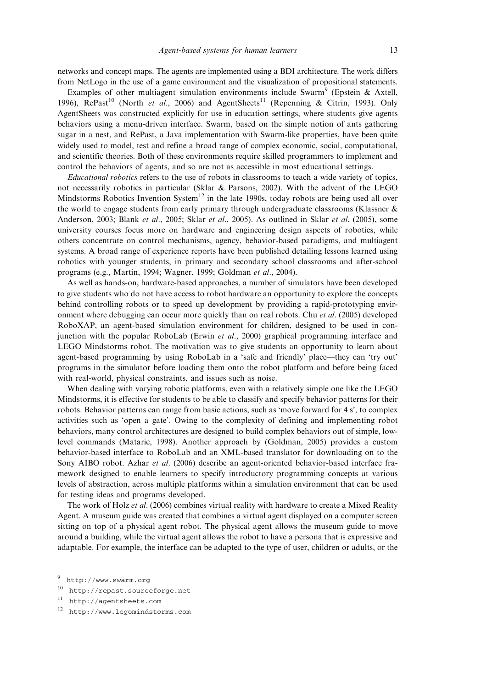networks and concept maps. The agents are implemented using a BDI architecture. The work differs from NetLogo in the use of a game environment and the visualization of propositional statements.

Examples of other multiagent simulation environments include Swarm<sup>9</sup> (Epstein & Axtell, 1996), RePast<sup>10</sup> (North et al., 2006) and AgentSheets<sup>11</sup> (Repenning & Citrin, 1993). Only AgentSheets was constructed explicitly for use in education settings, where students give agents behaviors using a menu-driven interface. Swarm, based on the simple notion of ants gathering sugar in a nest, and RePast, a Java implementation with Swarm-like properties, have been quite widely used to model, test and refine a broad range of complex economic, social, computational, and scientific theories. Both of these environments require skilled programmers to implement and control the behaviors of agents, and so are not as accessible in most educational settings.

Educational robotics refers to the use of robots in classrooms to teach a wide variety of topics, not necessarily robotics in particular (Sklar & Parsons, 2002). With the advent of the LEGO Mindstorms Robotics Invention System<sup>12</sup> in the late 1990s, today robots are being used all over the world to engage students from early primary through undergraduate classrooms (Klassner & Anderson, 2003; Blank et al., 2005; Sklar et al., 2005). As outlined in Sklar et al. (2005), some university courses focus more on hardware and engineering design aspects of robotics, while others concentrate on control mechanisms, agency, behavior-based paradigms, and multiagent systems. A broad range of experience reports have been published detailing lessons learned using robotics with younger students, in primary and secondary school classrooms and after-school programs (e.g., Martin, 1994; Wagner, 1999; Goldman et al., 2004).

As well as hands-on, hardware-based approaches, a number of simulators have been developed to give students who do not have access to robot hardware an opportunity to explore the concepts behind controlling robots or to speed up development by providing a rapid-prototyping environment where debugging can occur more quickly than on real robots. Chu et al. (2005) developed RoboXAP, an agent-based simulation environment for children, designed to be used in conjunction with the popular RoboLab (Erwin et al., 2000) graphical programming interface and LEGO Mindstorms robot. The motivation was to give students an opportunity to learn about agent-based programming by using RoboLab in a 'safe and friendly' place—they can 'try out' programs in the simulator before loading them onto the robot platform and before being faced with real-world, physical constraints, and issues such as noise.

When dealing with varying robotic platforms, even with a relatively simple one like the LEGO Mindstorms, it is effective for students to be able to classify and specify behavior patterns for their robots. Behavior patterns can range from basic actions, such as 'move forward for 4 s', to complex activities such as 'open a gate'. Owing to the complexity of defining and implementing robot behaviors, many control architectures are designed to build complex behaviors out of simple, lowlevel commands (Mataric, 1998). Another approach by (Goldman, 2005) provides a custom behavior-based interface to RoboLab and an XML-based translator for downloading on to the Sony AIBO robot. Azhar et al. (2006) describe an agent-oriented behavior-based interface framework designed to enable learners to specify introductory programming concepts at various levels of abstraction, across multiple platforms within a simulation environment that can be used for testing ideas and programs developed.

The work of Holz et al. (2006) combines virtual reality with hardware to create a Mixed Reality Agent. A museum guide was created that combines a virtual agent displayed on a computer screen sitting on top of a physical agent robot. The physical agent allows the museum guide to move around a building, while the virtual agent allows the robot to have a persona that is expressive and adaptable. For example, the interface can be adapted to the type of user, children or adults, or the

<sup>9</sup> http://www.swarm.org

<sup>10</sup> http://repast.sourceforge.net

<sup>11</sup> http://agentsheets.com

<sup>12</sup> http://www.legomindstorms.com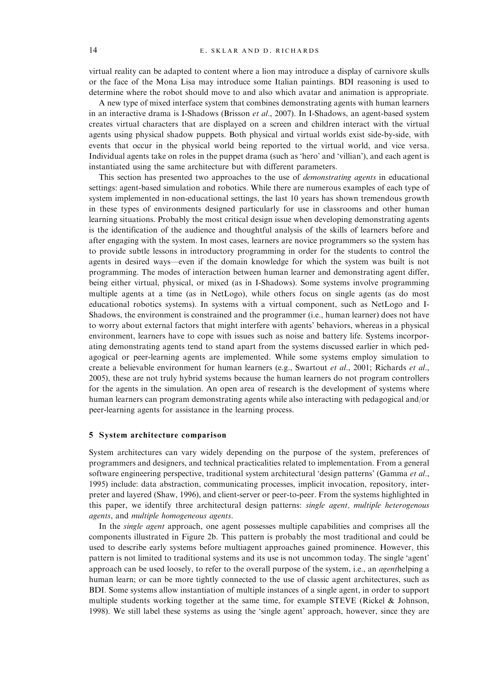virtual reality can be adapted to content where a lion may introduce a display of carnivore skulls or the face of the Mona Lisa may introduce some Italian paintings. BDI reasoning is used to determine where the robot should move to and also which avatar and animation is appropriate.

A new type of mixed interface system that combines demonstrating agents with human learners in an interactive drama is I-Shadows (Brisson et al., 2007). In I-Shadows, an agent-based system creates virtual characters that are displayed on a screen and children interact with the virtual agents using physical shadow puppets. Both physical and virtual worlds exist side-by-side, with events that occur in the physical world being reported to the virtual world, and vice versa. Individual agents take on roles in the puppet drama (such as 'hero' and 'villian'), and each agent is instantiated using the same architecture but with different parameters.

This section has presented two approaches to the use of *demonstrating agents* in educational settings: agent-based simulation and robotics. While there are numerous examples of each type of system implemented in non-educational settings, the last 10 years has shown tremendous growth in these types of environments designed particularly for use in classrooms and other human learning situations. Probably the most critical design issue when developing demonstrating agents is the identification of the audience and thoughtful analysis of the skills of learners before and after engaging with the system. In most cases, learners are novice programmers so the system has to provide subtle lessons in introductory programming in order for the students to control the agents in desired ways—even if the domain knowledge for which the system was built is not programming. The modes of interaction between human learner and demonstrating agent differ, being either virtual, physical, or mixed (as in I-Shadows). Some systems involve programming multiple agents at a time (as in NetLogo), while others focus on single agents (as do most educational robotics systems). In systems with a virtual component, such as NetLogo and I-Shadows, the environment is constrained and the programmer (i.e., human learner) does not have to worry about external factors that might interfere with agents' behaviors, whereas in a physical environment, learners have to cope with issues such as noise and battery life. Systems incorporating demonstrating agents tend to stand apart from the systems discussed earlier in which pedagogical or peer-learning agents are implemented. While some systems employ simulation to create a believable environment for human learners (e.g., Swartout et al., 2001; Richards et al., 2005), these are not truly hybrid systems because the human learners do not program controllers for the agents in the simulation. An open area of research is the development of systems where human learners can program demonstrating agents while also interacting with pedagogical and/or peer-learning agents for assistance in the learning process.

#### 5 System architecture comparison

System architectures can vary widely depending on the purpose of the system, preferences of programmers and designers, and technical practicalities related to implementation. From a general software engineering perspective, traditional system architectural 'design patterns' (Gamma et al., 1995) include: data abstraction, communicating processes, implicit invocation, repository, interpreter and layered (Shaw, 1996), and client-server or peer-to-peer. From the systems highlighted in this paper, we identify three architectural design patterns: *single agent, multiple heterogenous* agents, and multiple homogeneous agents.

In the *single agent* approach, one agent possesses multiple capabilities and comprises all the components illustrated in Figure 2b. This pattern is probably the most traditional and could be used to describe early systems before multiagent approaches gained prominence. However, this pattern is not limited to traditional systems and its use is not uncommon today. The single 'agent' approach can be used loosely, to refer to the overall purpose of the system, i.e., an agenthelping a human learn; or can be more tightly connected to the use of classic agent architectures, such as BDI. Some systems allow instantiation of multiple instances of a single agent, in order to support multiple students working together at the same time, for example STEVE (Rickel  $\&$  Johnson, 1998). We still label these systems as using the 'single agent' approach, however, since they are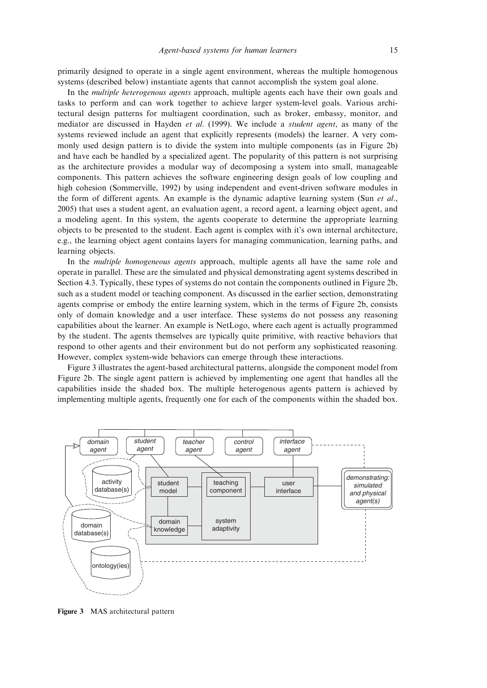primarily designed to operate in a single agent environment, whereas the multiple homogenous systems (described below) instantiate agents that cannot accomplish the system goal alone.

In the multiple heterogenous agents approach, multiple agents each have their own goals and tasks to perform and can work together to achieve larger system-level goals. Various architectural design patterns for multiagent coordination, such as broker, embassy, monitor, and mediator are discussed in Hayden et al. (1999). We include a student agent, as many of the systems reviewed include an agent that explicitly represents (models) the learner. A very commonly used design pattern is to divide the system into multiple components (as in Figure 2b) and have each be handled by a specialized agent. The popularity of this pattern is not surprising as the architecture provides a modular way of decomposing a system into small, manageable components. This pattern achieves the software engineering design goals of low coupling and high cohesion (Sommerville, 1992) by using independent and event-driven software modules in the form of different agents. An example is the dynamic adaptive learning system (Sun *et al.*, 2005) that uses a student agent, an evaluation agent, a record agent, a learning object agent, and a modeling agent. In this system, the agents cooperate to determine the appropriate learning objects to be presented to the student. Each agent is complex with it's own internal architecture, e.g., the learning object agent contains layers for managing communication, learning paths, and learning objects.

In the *multiple homogeneous agents* approach, multiple agents all have the same role and operate in parallel. These are the simulated and physical demonstrating agent systems described in Section 4.3. Typically, these types of systems do not contain the components outlined in Figure 2b, such as a student model or teaching component. As discussed in the earlier section, demonstrating agents comprise or embody the entire learning system, which in the terms of Figure 2b, consists only of domain knowledge and a user interface. These systems do not possess any reasoning capabilities about the learner. An example is NetLogo, where each agent is actually programmed by the student. The agents themselves are typically quite primitive, with reactive behaviors that respond to other agents and their environment but do not perform any sophisticated reasoning. However, complex system-wide behaviors can emerge through these interactions.

Figure 3 illustrates the agent-based architectural patterns, alongside the component model from Figure 2b. The single agent pattern is achieved by implementing one agent that handles all the capabilities inside the shaded box. The multiple heterogenous agents pattern is achieved by implementing multiple agents, frequently one for each of the components within the shaded box.



Figure 3 MAS architectural pattern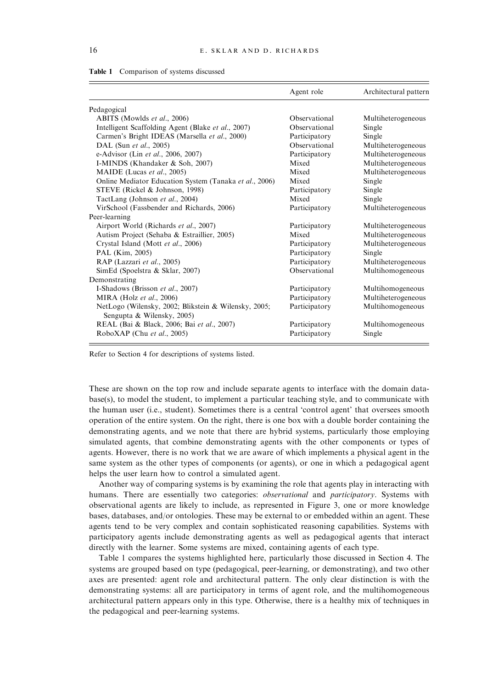| Table 1<br>Comparison of systems discussed |
|--------------------------------------------|
|--------------------------------------------|

|                                                                                    | Agent role    | Architectural pattern |
|------------------------------------------------------------------------------------|---------------|-----------------------|
| Pedagogical                                                                        |               |                       |
| ABITS (Mowlds et al., 2006)                                                        | Observational | Multiheterogeneous    |
| Intelligent Scaffolding Agent (Blake et al., 2007)                                 | Observational | Single                |
| Carmen's Bright IDEAS (Marsella et al., 2000)                                      | Participatory | Single                |
| DAL (Sun et al., 2005)                                                             | Observational | Multiheterogeneous    |
| e-Advisor (Lin et al., 2006, 2007)                                                 | Participatory | Multiheterogeneous    |
| I-MINDS (Khandaker & Soh, 2007)                                                    | Mixed         | Multiheterogeneous    |
| MAIDE (Lucas et al., 2005)                                                         | Mixed         | Multiheterogeneous    |
| Online Mediator Education System (Tanaka et al., 2006)                             | Mixed         | Single                |
| STEVE (Rickel & Johnson, 1998)                                                     | Participatory | Single                |
| TactLang (Johnson et al., 2004)                                                    | Mixed         | Single                |
| VirSchool (Fassbender and Richards, 2006)                                          | Participatory | Multiheterogeneous    |
| Peer-learning                                                                      |               |                       |
| Airport World (Richards et al., 2007)                                              | Participatory | Multiheterogeneous    |
| Autism Project (Sehaba & Estraillier, 2005)                                        | Mixed         | Multiheterogeneous    |
| Crystal Island (Mott et al., 2006)                                                 | Participatory | Multiheterogeneous    |
| PAL (Kim, 2005)                                                                    | Participatory | Single                |
| RAP (Lazzari et al., 2005)                                                         | Participatory | Multiheterogeneous    |
| SimEd (Spoelstra & Sklar, 2007)                                                    | Observational | Multihomogeneous      |
| Demonstrating                                                                      |               |                       |
| I-Shadows (Brisson et al., 2007)                                                   | Participatory | Multihomogeneous      |
| MIRA (Holz et al., 2006)                                                           | Participatory | Multiheterogeneous    |
| NetLogo (Wilensky, 2002; Blikstein & Wilensky, 2005;<br>Sengupta & Wilensky, 2005) | Participatory | Multihomogeneous      |
| REAL (Bai & Black, 2006; Bai et al., 2007)                                         | Participatory | Multihomogeneous      |
| RoboXAP (Chu et al., 2005)                                                         | Participatory | Single                |

Refer to Section 4 for descriptions of systems listed.

These are shown on the top row and include separate agents to interface with the domain database(s), to model the student, to implement a particular teaching style, and to communicate with the human user (i.e., student). Sometimes there is a central 'control agent' that oversees smooth operation of the entire system. On the right, there is one box with a double border containing the demonstrating agents, and we note that there are hybrid systems, particularly those employing simulated agents, that combine demonstrating agents with the other components or types of agents. However, there is no work that we are aware of which implements a physical agent in the same system as the other types of components (or agents), or one in which a pedagogical agent helps the user learn how to control a simulated agent.

Another way of comparing systems is by examining the role that agents play in interacting with humans. There are essentially two categories: *observational* and *participatory*. Systems with observational agents are likely to include, as represented in Figure 3, one or more knowledge bases, databases, and/or ontologies. These may be external to or embedded within an agent. These agents tend to be very complex and contain sophisticated reasoning capabilities. Systems with participatory agents include demonstrating agents as well as pedagogical agents that interact directly with the learner. Some systems are mixed, containing agents of each type.

Table 1 compares the systems highlighted here, particularly those discussed in Section 4. The systems are grouped based on type (pedagogical, peer-learning, or demonstrating), and two other axes are presented: agent role and architectural pattern. The only clear distinction is with the demonstrating systems: all are participatory in terms of agent role, and the multihomogeneous architectural pattern appears only in this type. Otherwise, there is a healthy mix of techniques in the pedagogical and peer-learning systems.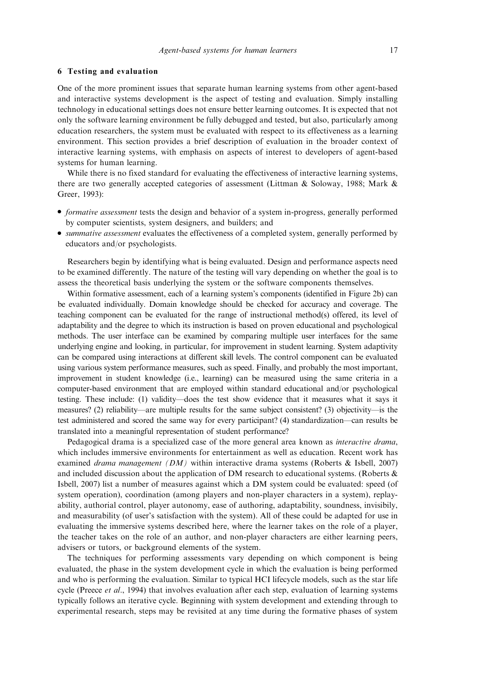# 6 Testing and evaluation

One of the more prominent issues that separate human learning systems from other agent-based and interactive systems development is the aspect of testing and evaluation. Simply installing technology in educational settings does not ensure better learning outcomes. It is expected that not only the software learning environment be fully debugged and tested, but also, particularly among education researchers, the system must be evaluated with respect to its effectiveness as a learning environment. This section provides a brief description of evaluation in the broader context of interactive learning systems, with emphasis on aspects of interest to developers of agent-based systems for human learning.

While there is no fixed standard for evaluating the effectiveness of interactive learning systems, there are two generally accepted categories of assessment (Littman & Soloway, 1988; Mark & Greer, 1993):

- <sup>&</sup>gt; formative assessment tests the design and behavior of a system in-progress, generally performed by computer scientists, system designers, and builders; and
- *summative assessment* evaluates the effectiveness of a completed system, generally performed by educators and/or psychologists.

Researchers begin by identifying what is being evaluated. Design and performance aspects need to be examined differently. The nature of the testing will vary depending on whether the goal is to assess the theoretical basis underlying the system or the software components themselves.

Within formative assessment, each of a learning system's components (identified in Figure 2b) can be evaluated individually. Domain knowledge should be checked for accuracy and coverage. The teaching component can be evaluated for the range of instructional method(s) offered, its level of adaptability and the degree to which its instruction is based on proven educational and psychological methods. The user interface can be examined by comparing multiple user interfaces for the same underlying engine and looking, in particular, for improvement in student learning. System adaptivity can be compared using interactions at different skill levels. The control component can be evaluated using various system performance measures, such as speed. Finally, and probably the most important, improvement in student knowledge (i.e., learning) can be measured using the same criteria in a computer-based environment that are employed within standard educational and/or psychological testing. These include: (1) validity—does the test show evidence that it measures what it says it measures? (2) reliability—are multiple results for the same subject consistent? (3) objectivity—is the test administered and scored the same way for every participant? (4) standardization—can results be translated into a meaningful representation of student performance?

Pedagogical drama is a specialized case of the more general area known as *interactive drama*, which includes immersive environments for entertainment as well as education. Recent work has examined *drama management (DM)* within interactive drama systems (Roberts & Isbell, 2007) and included discussion about the application of DM research to educational systems. (Roberts & Isbell, 2007) list a number of measures against which a DM system could be evaluated: speed (of system operation), coordination (among players and non-player characters in a system), replayability, authorial control, player autonomy, ease of authoring, adaptability, soundness, invisibily, and measurability (of user's satisfaction with the system). All of these could be adapted for use in evaluating the immersive systems described here, where the learner takes on the role of a player, the teacher takes on the role of an author, and non-player characters are either learning peers, advisers or tutors, or background elements of the system.

The techniques for performing assessments vary depending on which component is being evaluated, the phase in the system development cycle in which the evaluation is being performed and who is performing the evaluation. Similar to typical HCI lifecycle models, such as the star life cycle (Preece *et al.*, 1994) that involves evaluation after each step, evaluation of learning systems typically follows an iterative cycle. Beginning with system development and extending through to experimental research, steps may be revisited at any time during the formative phases of system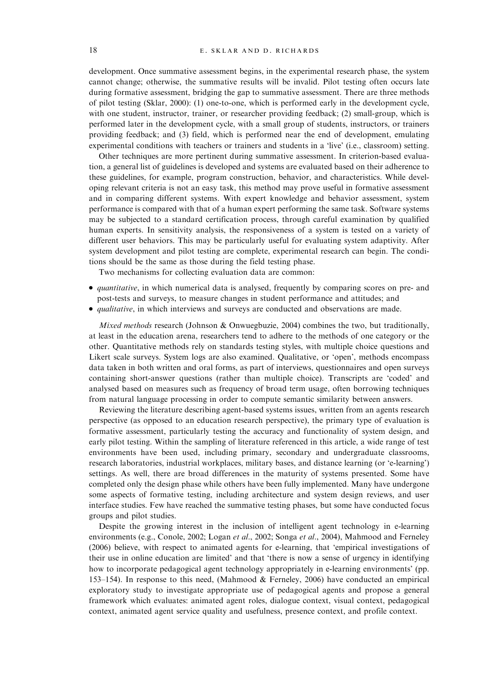development. Once summative assessment begins, in the experimental research phase, the system cannot change; otherwise, the summative results will be invalid. Pilot testing often occurs late during formative assessment, bridging the gap to summative assessment. There are three methods of pilot testing (Sklar, 2000): (1) one-to-one, which is performed early in the development cycle, with one student, instructor, trainer, or researcher providing feedback; (2) small-group, which is performed later in the development cycle, with a small group of students, instructors, or trainers providing feedback; and (3) field, which is performed near the end of development, emulating experimental conditions with teachers or trainers and students in a 'live' (i.e., classroom) setting.

Other techniques are more pertinent during summative assessment. In criterion-based evaluation, a general list of guidelines is developed and systems are evaluated based on their adherence to these guidelines, for example, program construction, behavior, and characteristics. While developing relevant criteria is not an easy task, this method may prove useful in formative assessment and in comparing different systems. With expert knowledge and behavior assessment, system performance is compared with that of a human expert performing the same task. Software systems may be subjected to a standard certification process, through careful examination by qualified human experts. In sensitivity analysis, the responsiveness of a system is tested on a variety of different user behaviors. This may be particularly useful for evaluating system adaptivity. After system development and pilot testing are complete, experimental research can begin. The conditions should be the same as those during the field testing phase.

Two mechanisms for collecting evaluation data are common:

- <sup>&</sup>gt; quantitative, in which numerical data is analysed, frequently by comparing scores on pre- and post-tests and surveys, to measure changes in student performance and attitudes; and
- <sup>&</sup>gt; qualitative, in which interviews and surveys are conducted and observations are made.

*Mixed methods* research (Johnson & Onwuegbuzie, 2004) combines the two, but traditionally, at least in the education arena, researchers tend to adhere to the methods of one category or the other. Quantitative methods rely on standards testing styles, with multiple choice questions and Likert scale surveys. System logs are also examined. Qualitative, or 'open', methods encompass data taken in both written and oral forms, as part of interviews, questionnaires and open surveys containing short-answer questions (rather than multiple choice). Transcripts are 'coded' and analysed based on measures such as frequency of broad term usage, often borrowing techniques from natural language processing in order to compute semantic similarity between answers.

Reviewing the literature describing agent-based systems issues, written from an agents research perspective (as opposed to an education research perspective), the primary type of evaluation is formative assessment, particularly testing the accuracy and functionality of system design, and early pilot testing. Within the sampling of literature referenced in this article, a wide range of test environments have been used, including primary, secondary and undergraduate classrooms, research laboratories, industrial workplaces, military bases, and distance learning (or 'e-learning') settings. As well, there are broad differences in the maturity of systems presented. Some have completed only the design phase while others have been fully implemented. Many have undergone some aspects of formative testing, including architecture and system design reviews, and user interface studies. Few have reached the summative testing phases, but some have conducted focus groups and pilot studies.

Despite the growing interest in the inclusion of intelligent agent technology in e-learning environments (e.g., Conole, 2002; Logan et al., 2002; Songa et al., 2004), Mahmood and Ferneley (2006) believe, with respect to animated agents for e-learning, that 'empirical investigations of their use in online education are limited' and that 'there is now a sense of urgency in identifying how to incorporate pedagogical agent technology appropriately in e-learning environments' (pp. 153–154). In response to this need, (Mahmood & Ferneley, 2006) have conducted an empirical exploratory study to investigate appropriate use of pedagogical agents and propose a general framework which evaluates: animated agent roles, dialogue context, visual context, pedagogical context, animated agent service quality and usefulness, presence context, and profile context.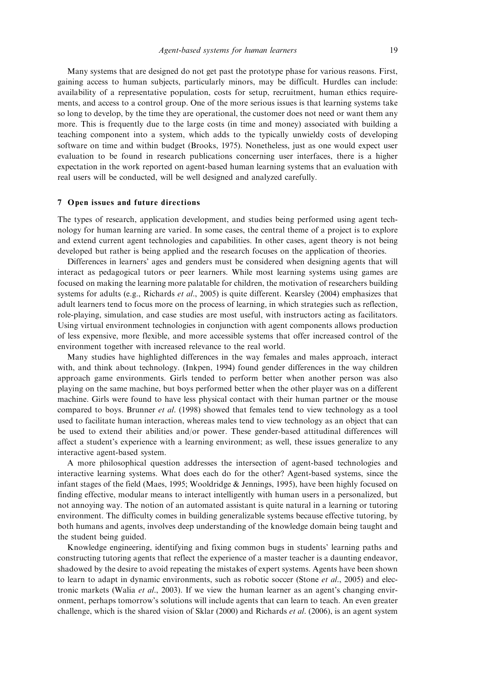Many systems that are designed do not get past the prototype phase for various reasons. First, gaining access to human subjects, particularly minors, may be difficult. Hurdles can include: availability of a representative population, costs for setup, recruitment, human ethics requirements, and access to a control group. One of the more serious issues is that learning systems take so long to develop, by the time they are operational, the customer does not need or want them any more. This is frequently due to the large costs (in time and money) associated with building a teaching component into a system, which adds to the typically unwieldy costs of developing software on time and within budget (Brooks, 1975). Nonetheless, just as one would expect user evaluation to be found in research publications concerning user interfaces, there is a higher expectation in the work reported on agent-based human learning systems that an evaluation with real users will be conducted, will be well designed and analyzed carefully.

# 7 Open issues and future directions

The types of research, application development, and studies being performed using agent technology for human learning are varied. In some cases, the central theme of a project is to explore and extend current agent technologies and capabilities. In other cases, agent theory is not being developed but rather is being applied and the research focuses on the application of theories.

Differences in learners' ages and genders must be considered when designing agents that will interact as pedagogical tutors or peer learners. While most learning systems using games are focused on making the learning more palatable for children, the motivation of researchers building systems for adults (e.g., Richards *et al.*, 2005) is quite different. Kearsley (2004) emphasizes that adult learners tend to focus more on the process of learning, in which strategies such as reflection, role-playing, simulation, and case studies are most useful, with instructors acting as facilitators. Using virtual environment technologies in conjunction with agent components allows production of less expensive, more flexible, and more accessible systems that offer increased control of the environment together with increased relevance to the real world.

Many studies have highlighted differences in the way females and males approach, interact with, and think about technology. (Inkpen, 1994) found gender differences in the way children approach game environments. Girls tended to perform better when another person was also playing on the same machine, but boys performed better when the other player was on a different machine. Girls were found to have less physical contact with their human partner or the mouse compared to boys. Brunner et al. (1998) showed that females tend to view technology as a tool used to facilitate human interaction, whereas males tend to view technology as an object that can be used to extend their abilities and/or power. These gender-based attitudinal differences will affect a student's experience with a learning environment; as well, these issues generalize to any interactive agent-based system.

A more philosophical question addresses the intersection of agent-based technologies and interactive learning systems. What does each do for the other? Agent-based systems, since the infant stages of the field (Maes, 1995; Wooldridge & Jennings, 1995), have been highly focused on finding effective, modular means to interact intelligently with human users in a personalized, but not annoying way. The notion of an automated assistant is quite natural in a learning or tutoring environment. The difficulty comes in building generalizable systems because effective tutoring, by both humans and agents, involves deep understanding of the knowledge domain being taught and the student being guided.

Knowledge engineering, identifying and fixing common bugs in students' learning paths and constructing tutoring agents that reflect the experience of a master teacher is a daunting endeavor, shadowed by the desire to avoid repeating the mistakes of expert systems. Agents have been shown to learn to adapt in dynamic environments, such as robotic soccer (Stone  $et$  al., 2005) and electronic markets (Walia et al., 2003). If we view the human learner as an agent's changing environment, perhaps tomorrow's solutions will include agents that can learn to teach. An even greater challenge, which is the shared vision of Sklar (2000) and Richards *et al.* (2006), is an agent system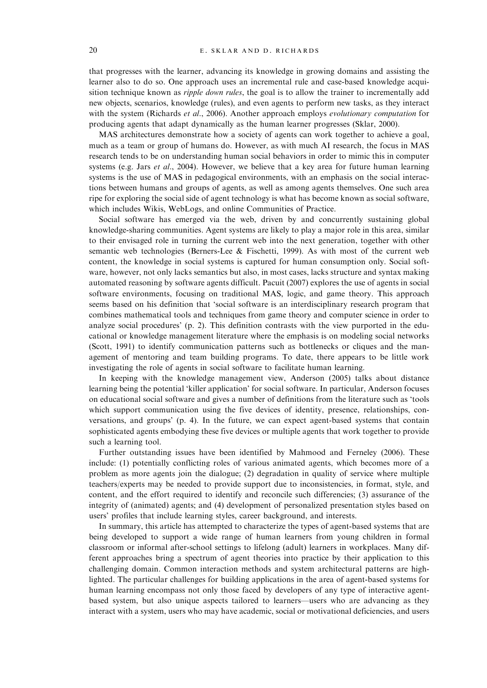that progresses with the learner, advancing its knowledge in growing domains and assisting the learner also to do so. One approach uses an incremental rule and case-based knowledge acquisition technique known as *ripple down rules*, the goal is to allow the trainer to incrementally add new objects, scenarios, knowledge (rules), and even agents to perform new tasks, as they interact with the system (Richards et al., 2006). Another approach employs evolutionary computation for producing agents that adapt dynamically as the human learner progresses (Sklar, 2000).

MAS architectures demonstrate how a society of agents can work together to achieve a goal, much as a team or group of humans do. However, as with much AI research, the focus in MAS research tends to be on understanding human social behaviors in order to mimic this in computer systems (e.g. Jars et al., 2004). However, we believe that a key area for future human learning systems is the use of MAS in pedagogical environments, with an emphasis on the social interactions between humans and groups of agents, as well as among agents themselves. One such area ripe for exploring the social side of agent technology is what has become known as social software, which includes Wikis, WebLogs, and online Communities of Practice.

Social software has emerged via the web, driven by and concurrently sustaining global knowledge-sharing communities. Agent systems are likely to play a major role in this area, similar to their envisaged role in turning the current web into the next generation, together with other semantic web technologies (Berners-Lee & Fischetti, 1999). As with most of the current web content, the knowledge in social systems is captured for human consumption only. Social software, however, not only lacks semantics but also, in most cases, lacks structure and syntax making automated reasoning by software agents difficult. Pacuit (2007) explores the use of agents in social software environments, focusing on traditional MAS, logic, and game theory. This approach seems based on his definition that 'social software is an interdisciplinary research program that combines mathematical tools and techniques from game theory and computer science in order to analyze social procedures' (p. 2). This definition contrasts with the view purported in the educational or knowledge management literature where the emphasis is on modeling social networks (Scott, 1991) to identify communication patterns such as bottlenecks or cliques and the management of mentoring and team building programs. To date, there appears to be little work investigating the role of agents in social software to facilitate human learning.

In keeping with the knowledge management view, Anderson (2005) talks about distance learning being the potential 'killer application' for social software. In particular, Anderson focuses on educational social software and gives a number of definitions from the literature such as 'tools which support communication using the five devices of identity, presence, relationships, conversations, and groups' (p. 4). In the future, we can expect agent-based systems that contain sophisticated agents embodying these five devices or multiple agents that work together to provide such a learning tool.

Further outstanding issues have been identified by Mahmood and Ferneley (2006). These include: (1) potentially conflicting roles of various animated agents, which becomes more of a problem as more agents join the dialogue; (2) degradation in quality of service where multiple teachers/experts may be needed to provide support due to inconsistencies, in format, style, and content, and the effort required to identify and reconcile such differencies; (3) assurance of the integrity of (animated) agents; and (4) development of personalized presentation styles based on users' profiles that include learning styles, career background, and interests.

In summary, this article has attempted to characterize the types of agent-based systems that are being developed to support a wide range of human learners from young children in formal classroom or informal after-school settings to lifelong (adult) learners in workplaces. Many different approaches bring a spectrum of agent theories into practice by their application to this challenging domain. Common interaction methods and system architectural patterns are highlighted. The particular challenges for building applications in the area of agent-based systems for human learning encompass not only those faced by developers of any type of interactive agentbased system, but also unique aspects tailored to learners—users who are advancing as they interact with a system, users who may have academic, social or motivational deficiencies, and users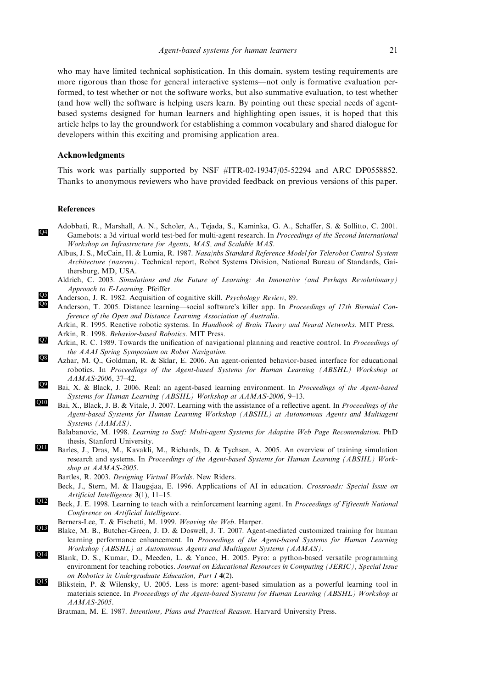who may have limited technical sophistication. In this domain, system testing requirements are more rigorous than those for general interactive systems—not only is formative evaluation performed, to test whether or not the software works, but also summative evaluation, to test whether (and how well) the software is helping users learn. By pointing out these special needs of agentbased systems designed for human learners and highlighting open issues, it is hoped that this article helps to lay the groundwork for establishing a common vocabulary and shared dialogue for developers within this exciting and promising application area.

# Acknowledgments

This work was partially supported by NSF #ITR-02-19347/05-52294 and ARC DP0558852. Thanks to anonymous reviewers who have provided feedback on previous versions of this paper.

# References

- Adobbati, R., Marshall, A. N., Scholer, A., Tejada, S., Kaminka, G. A., Schaffer, S. & Sollitto, C. 2001. Gamebots: a 3d virtual world test-bed for multi-agent research. In *Proceedings of the Second International* Workshop on Infrastructure for Agents, MAS, and Scalable MAS.
	- Albus, J. S., McCain, H. & Lumia, R. 1987. Nasa/nbs Standard Reference Model for Telerobot Control System Architecture (nasrem). Technical report, Robot Systems Division, National Bureau of Standards, Gaithersburg, MD, USA.
	- Aldrich, C. 2003. Simulations and the Future of Learning: An Innovative (and Perhaps Revolutionary) Approach to E-Learning. Pfeiffer.
- Anderson, J. R. 1982. Acquisition of cognitive skill. *Psychology Review*, 89.<br>
Anderson, T. 2005. Distance Jearning, social software's killer ann. In *Pro* 
	- Anderson, T. 2005. Distance learning—social software's killer app. In Proceedings of 17th Biennial Conference of the Open and Distance Learning Association of Australia.
	- Arkin, R. 1995. Reactive robotic systems. In Handbook of Brain Theory and Neural Networks. MIT Press. Arkin, R. 1998. Behavior-based Robotics. MIT Press.
- Arkin, R. C. 1989. Towards the unification of navigational planning and reactive control. In *Proceedings of* the AAAI Spring Symposium on Robot Navigation.
- Azhar, M. Q., Goldman, R. & Sklar, E. 2006. An agent-oriented behavior-based interface for educational robotics. In Proceedings of the Agent-based Systems for Human Learning (ABSHL) Workshop at AAMAS-2006, 37–42.
- Bai, X. & Black, J. 2006. Real: an agent-based learning environment. In Proceedings of the Agent-based Systems for Human Learning (ABSHL) Workshop at AAMAS-2006, 9–13.
- Bai, X., Black, J. B. & Vitale, J. 2007. Learning with the assistance of a reflective agent. In Proceedings of the Agent-based Systems for Human Learning Workshop (ABSHL) at Autonomous Agents and Multiagent Systems (AAMAS).
	- Balabanovic, M. 1998. Learning to Surf: Multi-agent Systems for Adaptive Web Page Recomendation. PhD thesis, Stanford University.
- Barles, J., Dras, M., Kavakli, M., Richards, D. & Tychsen, A. 2005. An overview of training simulation research and systems. In Proceedings of the Agent-based Systems for Human Learning (ABSHL) Workshop at AAMAS-2005.
	- Bartles, R. 2003. Designing Virtual Worlds. New Riders.
	- Beck, J., Stern, M. & Haugsjaa, E. 1996. Applications of AI in education. Crossroads: Special Issue on Artificial Intelligence 3(1), 11–15.
- Beck, J. E. 1998. Learning to teach with a reinforcement learning agent. In *Proceedings of Fifteenth National* Conference on Artificial Intelligence.
	- Berners-Lee, T. & Fischetti, M. 1999. Weaving the Web. Harper.
- Blake, M. B., Butcher-Green, J. D. & Doswell, J. T. 2007. Agent-mediated customized training for human learning performance enhancement. In Proceedings of the Agent-based Systems for Human Learning Workshop (ABSHL) at Autonomous Agents and Multiagent Systems (AAMAS).
- Blank, D. S., Kumar, D., Meeden, L. & Yanco, H. 2005. Pyro: a python-based versatile programming environment for teaching robotics. Journal on Educational Resources in Computing (JERIC), Special Issue on Robotics in Undergraduate Education, Part I 4(2).
- Q15 Blikstein, P. & Wilensky, U. 2005. Less is more: agent-based simulation as a powerful learning tool in materials science. In Proceedings of the Agent-based Systems for Human Learning (ABSHL) Workshop at AAMAS-2005.
	- Bratman, M. E. 1987. Intentions, Plans and Practical Reason. Harvard University Press.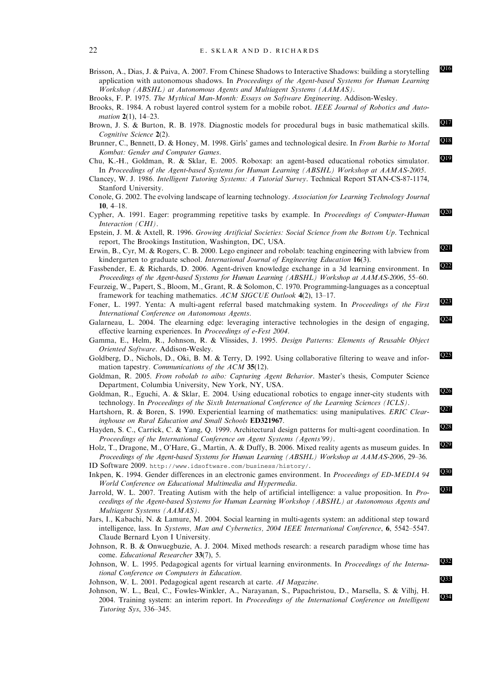Brisson, A., Dias, J. & Paiva, A. 2007. From Chinese Shadows to Interactive Shadows: building a storytelling application with autonomous shadows. In Proceedings of the Agent-based Systems for Human Learning Workshop (ABSHL) at Autonomous Agents and Multiagent Systems (AAMAS).

- Brooks, R. 1984. A robust layered control system for a mobile robot. IEEE Journal of Robotics and Automation 2(1), 14-23.
- Brown, J. S. & Burton, R. B. 1978. Diagnostic models for procedural bugs in basic mathematical skills.  $Q17$ Cognitive Science 2(2).
- Brunner, C., Bennett, D. & Honey, M. 1998. Girls' games and technological desire. In From Barbie to Mortal Kombat: Gender and Computer Games.
- Chu, K.-H., Goldman, R. & Sklar, E. 2005. Roboxap: an agent-based educational robotics simulator. In Proceedings of the Agent-based Systems for Human Learning (ABSHL) Workshop at AAMAS-2005.
- Clancey, W. J. 1986. Intelligent Tutoring Systems: A Tutorial Survey. Technical Report STAN-CS-87-1174, Stanford University.
- Conole, G. 2002. The evolving landscape of learning technology. Association for Learning Technology Journal 10, 4–18.
- Cypher, A. 1991. Eager: programming repetitive tasks by example. In *Proceedings of Computer-Human* Q20 Interaction (CHI).
- Epstein, J. M. & Axtell, R. 1996. Growing Artificial Societies: Social Science from the Bottom Up. Technical report, The Brookings Institution, Washington, DC, USA.
- Erwin, B., Cyr, M. & Rogers, C. B. 2000. Lego engineer and robolab: teaching engineering with labview from **Q21** kindergarten to graduate school. International Journal of Engineering Education 16(3).
- Fassbender, E. & Richards, D. 2006. Agent-driven knowledge exchange in a 3d learning environment. In  $\overline{Q22}$ Proceedings of the Agent-based Systems for Human Learning (ABSHL) Workshop at AAMAS-2006, 55–60.
- Feurzeig, W., Papert, S., Bloom, M., Grant, R. & Solomon, C. 1970. Programming-languages as a conceptual framework for teaching mathematics. ACM SIGCUE Outlook 4(2), 13-17.
- Foner, L. 1997. Yenta: A multi-agent referral based matchmaking system. In *Proceedings of the First*  $\overline{Q_3}$ International Conference on Autonomous Agents.
- Galarneau, L. 2004. The elearning edge: leveraging interactive technologies in the design of engaging, effective learning experiences. In Proceedings of e-Fest 2004.
- Gamma, E., Helm, R., Johnson, R. & Vlissides, J. 1995. Design Patterns: Elements of Reusable Object Oriented Software. Addison-Wesley.
- Goldberg, D., Nichols, D., Oki, B. M. & Terry, D. 1992. Using collaborative filtering to weave and information tapestry. Communications of the ACM 35(12).
- Goldman, R. 2005. From robolab to aibo: Capturing Agent Behavior. Master's thesis, Computer Science Department, Columbia University, New York, NY, USA.
- Goldman, R., Eguchi, A. & Sklar, E. 2004. Using educational robotics to engage inner-city students with 226 technology. In Proceedings of the Sixth International Conference of the Learning Sciences (ICLS).
- Hartshorn, R. & Boren, S. 1990. Experiential learning of mathematics: using manipulatives. ERIC Clearinghouse on Rural Education and Small Schools ED321967.
- Hayden, S. C., Carrick, C. & Yang, Q. 1999. Architectural design patterns for multi-agent coordination. In Proceedings of the International Conference on Agent Systems (Agents'99).
- Holz, T., Dragone, M., O'Hare, G., Martin, A. & Duffy, B. 2006. Mixed reality agents as museum guides. In Proceedings of the Agent-based Systems for Human Learning (ABSHL) Workshop at AAMAS-2006, 29–36.
- ID Software 2009. http://www.idsoftware.com/business/history/.
- Inkpen, K. 1994. Gender differences in an electronic games environment. In *Proceedings of ED-MEDIA 94* Q<sup>30</sup> World Conference on Educational Multimedia and Hypermedia.
- Jarrold, W. L. 2007. Treating Autism with the help of artificial intelligence: a value proposition. In Proceedings of the Agent-based Systems for Human Learning Workshop (ABSHL) at Autonomous Agents and Multiagent Systems (AAMAS).
- Jars, I., Kabachi, N. & Lamure, M. 2004. Social learning in multi-agents system: an additional step toward intelligence, lass. In Systems, Man and Cybernetics, 2004 IEEE International Conference, 6, 5542–5547. Claude Bernard Lyon I University.
- Johnson, R. B. & Onwuegbuzie, A. J. 2004. Mixed methods research: a research paradigm whose time has come. Educational Researcher 33(7), 5.
- Johnson, W. L. 1995. Pedagogical agents for virtual learning environments. In *Proceedings of the Interna*tional Conference on Computers in Education.
- Johnson, W. L. 2001. Pedagogical agent research at carte. AI Magazine.
- Johnson, W. L., Beal, C., Fowles-Winkler, A., Narayanan, S., Papachristou, D., Marsella, S. & Vilhj, H. 2004. Training system: an interim report. In *Proceedings of the International Conference on Intelligent* Tutoring Sys, 336–345.

Brooks, F. P. 1975. The Mythical Man-Month: Essays on Software Engineering. Addison-Wesley.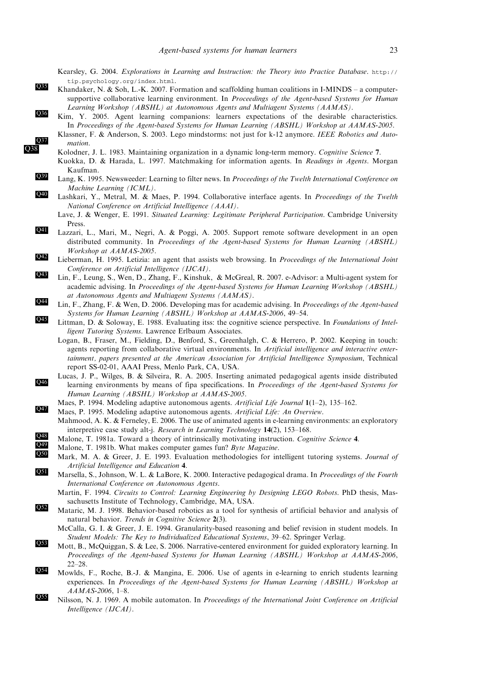Kearsley, G. 2004. Explorations in Learning and Instruction: the Theory into Practice Database. http:// tip.psychology.org/index.html.

- $\overline{R}$  Khandaker, N. & Soh, L.-K. 2007. Formation and scaffolding human coalitions in I-MINDS a computersupportive collaborative learning environment. In *Proceedings of the Agent-based Systems for Human* Learning Workshop (ABSHL) at Autonomous Agents and Multiagent Systems (AAMAS).
- Rim, Y. 2005. Agent learning companions: learners expectations of the desirable characteristics. In Proceedings of the Agent-based Systems for Human Learning (ABSHL) Workshop at AAMAS-2005. Klassner, F. & Anderson, S. 2003. Lego mindstorms: not just for k-12 anymore. IEEE Robotics and Auto
	- mation.<br>
	Kolodner, J. L. 1983. Maintaining organization in a dynamic long-term memory. Cognitive Science 7.
	- Kuokka, D. & Harada, L. 1997. Matchmaking for information agents. In Readings in Agents. Morgan
- Kaufman. 239 Lang, K. 1995. Newsweeder: Learning to filter news. In *Proceedings of the Twelth International Conference on* 
	- Machine Learning (ICML).
- Lashkari, Y., Metral, M. & Maes, P. 1994. Collaborative interface agents. In *Proceedings of the Twelth* National Conference on Artificial Intelligence (AAAI).
	- Lave, J. & Wenger, E. 1991. Situated Learning: Legitimate Peripheral Participation. Cambridge University Press.
- Q41 Lazzari, L., Mari, M., Negri, A. & Poggi, A. 2005. Support remote software development in an open distributed community. In Proceedings of the Agent-based Systems for Human Learning (ABSHL) Workshop at AAMAS-2005.
- **Q42** Lieberman, H. 1995. Letizia: an agent that assists web browsing. In *Proceedings of the International Joint* Conference on Artificial Intelligence (IJCAI).
- 243 Lin, F., Leung, S., Wen, D., Zhang, F., Kinshuk, & McGreal, R. 2007. e-Advisor: a Multi-agent system for academic advising. In Proceedings of the Agent-based Systems for Human Learning Workshop (ABSHL) at Autonomous Agents and Multiagent Systems (AAMAS).
- $Q_{44}$  Lin, F., Zhang, F. & Wen, D. 2006. Developing mas for academic advising. In *Proceedings of the Agent-based* Systems for Human Learning (ABSHL) Workshop at AAMAS-2006, 49–54.
- Q45 Littman, D. & Soloway, E. 1988. Evaluating itss: the cognitive science perspective. In Foundations of Intelligent Tutoring Systems. Lawrence Erlbaum Associates.
	- Logan, B., Fraser, M., Fielding, D., Benford, S., Greenhalgh, C. & Herrero, P. 2002. Keeping in touch: agents reporting from collaborative virtual environments. In Artificial intelligence and interactive entertainment, papers presented at the American Association for Artificial Intelligence Symposium, Technical report SS-02-01, AAAI Press, Menlo Park, CA, USA.
- Lucas, J. P., Wilges, B. & Silveira, R. A. 2005. Inserting animated pedagogical agents inside distributed learning environments by means of fipa specifications. In *Proceedings of the Agent-based Systems for* the Agent-based Systems for Human Learning (ABSHL) Workshop at AAMAS-2005.
	- Maes, P. 1994. Modeling adaptive autonomous agents. Artificial Life Journal 1(1–2), 135–162.
- Maes, P. 1995. Modeling adaptive autonomous agents. Artificial Life: An Overview.
	- Mahmood, A. K. & Ferneley, E. 2006. The use of animated agents in e-learning environments: an exploratory interpretive case study alt-j. Research in Learning Technology 14(2), 153–168.
- Malone, T. 1981a. Toward a theory of intrinsically motivating instruction. Cognitive Science 4.<br>
Malone, T. 1991b. What makes computer cames fun? Buts Measting.
- Malone, T. 1981b. What makes computer games fun? Byte Magazine.
	- Mark, M. A. & Greer, J. E. 1993. Evaluation methodologies for intelligent tutoring systems. Journal of Artificial Intelligence and Education 4.
- Marsella, S., Johnson, W. L. & LaBore, K. 2000. Interactive pedagogical drama. In *Proceedings of the Fourth* International Conference on Autonomous Agents.
	- Martin, F. 1994. Circuits to Control: Learning Engineering by Designing LEGO Robots. PhD thesis, Massachusetts Institute of Technology, Cambridge, MA, USA.
- Mataric, M. J. 1998. Behavior-based robotics as a tool for synthesis of artificial behavior and analysis of natural behavior. Trends in Cognitive Science 2(3).
	- McCalla, G. I. & Greer, J. E. 1994. Granularity-based reasoning and belief revision in student models. In Student Models: The Key to Individualized Educational Systems, 39–62. Springer Verlag.
- Mott, B., McQuiggan, S. & Lee, S. 2006. Narrative-centered environment for guided exploratory learning. In Proceedings of the Agent-based Systems for Human Learning (ABSHL) Workshop at AAMAS-2006, 22–28.
- Mowlds, F., Roche, B.-J. & Mangina, E. 2006. Use of agents in e-learning to enrich students learning experiences. In Proceedings of the Agent-based Systems for Human Learning (ABSHL) Workshop at AAMAS-2006, 1–8.
- Nilsson, N. J. 1969. A mobile automaton. In Proceedings of the International Joint Conference on Artificial Intelligence (IJCAI).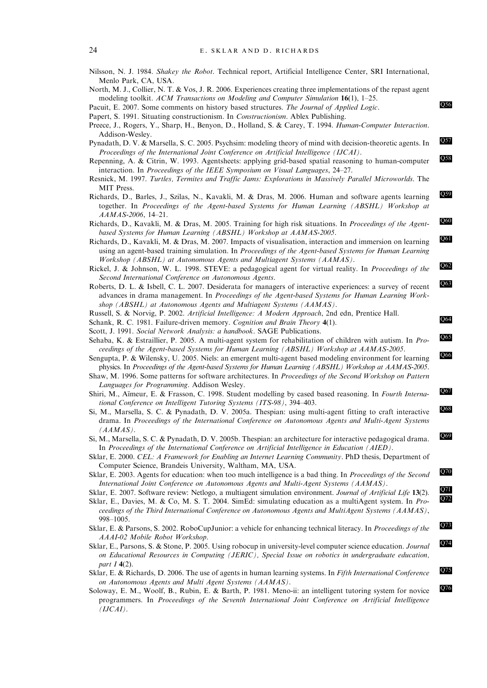- Nilsson, N. J. 1984. Shakey the Robot. Technical report, Artificial Intelligence Center, SRI International, Menlo Park, CA, USA.
- North, M. J., Collier, N. T. & Vos, J. R. 2006. Experiences creating three implementations of the repast agent modeling toolkit. ACM Transactions on Modeling and Computer Simulation  $16(1)$ , 1–25.

- Preece, J., Rogers, Y., Sharp, H., Benyon, D., Holland, S. & Carey, T. 1994. Human-Computer Interaction. Addison-Wesley.
- Pynadath, D. V. & Marsella, S. C. 2005. Psychsim: modeling theory of mind with decision-theoretic agents. In Proceedings of the International Joint Conference on Artificial Intelligence (IJCAI).
- Repenning, A. & Citrin, W. 1993. Agentsheets: applying grid-based spatial reasoning to human-computer Q<sup>58</sup> interaction. In Proceedings of the IEEE Symposium on Visual Languages, 24–27.
- Resnick, M. 1997. Turtles, Termites and Traffic Jams: Explorations in Massively Parallel Microworlds. The MIT Press.
- Richards, D., Barles, J., Szilas, N., Kavakli, M. & Dras, M. 2006. Human and software agents learning together. In Proceedings of the Agent-based Systems for Human Learning (ABSHL) Workshop at AAMAS-2006, 14–21.
- Richards, D., Kavakli, M. & Dras, M. 2005. Training for high risk situations. In *Proceedings of the Agent*based Systems for Human Learning (ABSHL) Workshop at AAMAS-2005.
- Pascu Bystems for Traman Ecurring (TEBTE) Workshop at TITIMTIB-2009.<br>Richards, D., Kavakli, M. & Dras, M. 2007. Impacts of visualisation, interaction and immersion on learning using an agent-based training simulation. In Proceedings of the Agent-based Systems for Human Learning Workshop (ABSHL) at Autonomous Agents and Multiagent Systems (AAMAS).
- Rickel, J. & Johnson, W. L. 1998. STEVE: a pedagogical agent for virtual reality. In *Proceedings of the* Second International Conference on Autonomous Agents.
- Roberts, D. L. & Isbell, C. L. 2007. Desiderata for managers of interactive experiences: a survey of recent advances in drama management. In Proceedings of the Agent-based Systems for Human Learning Workshop (ABSHL) at Autonomous Agents and Multiagent Systems (AAMAS).
- Russell, S. & Norvig, P. 2002. Artificial Intelligence: A Modern Approach, 2nd edn, Prentice Hall.
- Schank, R. C. 1981. Failure-driven memory. Cognition and Brain Theory 4(1).
- Scott, J. 1991. Social Network Analysis: a handbook. SAGE Publications.
- Sehaba, K. & Estraillier, P. 2005. A multi-agent system for rehabilitation of children with autism. In Proceedings of the Agent-based Systems for Human Learning (ABSHL) Workshop at AAMAS-2005.
- Sengupta, P. & Wilensky, U. 2005. Niels: an emergent multi-agent based modeling environment for learning Q66 physics. In Proceedings of the Agent-based Systems for Human Learning (ABSHL) Workshop at AAMAS-2005.
- Shaw, M. 1996. Some patterns for software architectures. In Proceedings of the Second Workshop on Pattern Languages for Programming. Addison Wesley.
- Shiri, M., Aïmeur, E. & Frasson, C. 1998. Student modelling by cased based reasoning. In Fourth International Conference on Intelligent Tutoring Systems (ITS-98), 394–403.
- Si, M., Marsella, S. C. & Pynadath, D. V. 2005a. Thespian: using multi-agent fitting to craft interactive  $\sqrt{88}$ drama. In Proceedings of the International Conference on Autonomous Agents and Multi-Agent Systems (AAMAS).
- Si, M., Marsella, S. C. & Pynadath, D. V. 2005b. Thespian: an architecture for interactive pedagogical drama. In Proceedings of the International Conference on Artificial Intelligence in Education (AIED).
- Sklar, E. 2000. CEL: A Framework for Enabling an Internet Learning Community. PhD thesis, Department of Computer Science, Brandeis University, Waltham, MA, USA.
- Sklar, E. 2003. Agents for education: when too much intelligence is a bad thing. In *Proceedings of the Second* International Joint Conference on Autonomous Agents and Multi-Agent Systems (AAMAS).
- Sklar, E. 2007. Software review: Netlogo, a multiagent simulation environment. Journal of Artificial Life 13(2).
- Sklar, E., Davies, M. & Co, M. S. T. 2004. SimEd: simulating education as a multiAgent system. In Proceedings of the Third International Conference on Autonomous Agents and MultiAgent Systems (AAMAS), 998–1005.
- Sklar, E. & Parsons, S. 2002. RoboCupJunior: a vehicle for enhancing technical literacy. In *Proceedings of the* AAAI-02 Mobile Robot Workshop.
- Sklar, E., Parsons, S. & Stone, P. 2005. Using robocup in university-level computer science education. Journal on Educational Resources in Computing (JERIC), Special Issue on robotics in undergraduate education, part I 4(2).
- Sklar, E. & Richards, D. 2006. The use of agents in human learning systems. In Fifth International Conference on Autonomous Agents and Multi Agent Systems (AAMAS).
- Soloway, E. M., Woolf, B., Rubin, E. & Barth, P. 1981. Meno-ii: an intelligent tutoring system for novice Q76 programmers. In Proceedings of the Seventh International Joint Conference on Artificial Intelligence  $(IJCAI).$

Pacuit, E. 2007. Some comments on history based structures. The Journal of Applied Logic.

Papert, S. 1991. Situating constructionism. In Constructionism. Ablex Publishing.